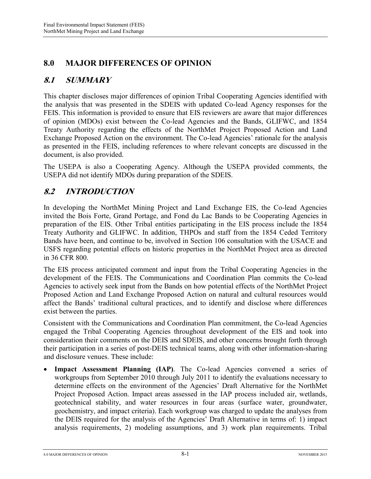# **8.0 MAJOR DIFFERENCES OF OPINION**

# **8.1 SUMMARY**

This chapter discloses major differences of opinion Tribal Cooperating Agencies identified with the analysis that was presented in the SDEIS with updated Co-lead Agency responses for the FEIS. This information is provided to ensure that EIS reviewers are aware that major differences of opinion (MDOs) exist between the Co-lead Agencies and the Bands, GLIFWC, and 1854 Treaty Authority regarding the effects of the NorthMet Project Proposed Action and Land Exchange Proposed Action on the environment. The Co-lead Agencies' rationale for the analysis as presented in the FEIS, including references to where relevant concepts are discussed in the document, is also provided.

The USEPA is also a Cooperating Agency. Although the USEPA provided comments, the USEPA did not identify MDOs during preparation of the SDEIS.

#### **8.2 INTRODUCTION**

In developing the NorthMet Mining Project and Land Exchange EIS, the Co-lead Agencies invited the Bois Forte, Grand Portage, and Fond du Lac Bands to be Cooperating Agencies in preparation of the EIS. Other Tribal entities participating in the EIS process include the 1854 Treaty Authority and GLIFWC. In addition, THPOs and staff from the 1854 Ceded Territory Bands have been, and continue to be, involved in Section 106 consultation with the USACE and USFS regarding potential effects on historic properties in the NorthMet Project area as directed in 36 CFR 800.

The EIS process anticipated comment and input from the Tribal Cooperating Agencies in the development of the FEIS. The Communications and Coordination Plan commits the Co-lead Agencies to actively seek input from the Bands on how potential effects of the NorthMet Project Proposed Action and Land Exchange Proposed Action on natural and cultural resources would affect the Bands' traditional cultural practices, and to identify and disclose where differences exist between the parties.

Consistent with the Communications and Coordination Plan commitment, the Co-lead Agencies engaged the Tribal Cooperating Agencies throughout development of the EIS and took into consideration their comments on the DEIS and SDEIS, and other concerns brought forth through their participation in a series of post-DEIS technical teams, along with other information-sharing and disclosure venues. These include:

**Impact Assessment Planning (IAP)**. The Co-lead Agencies convened a series of workgroups from September 2010 through July 2011 to identify the evaluations necessary to determine effects on the environment of the Agencies' Draft Alternative for the NorthMet Project Proposed Action. Impact areas assessed in the IAP process included air, wetlands, geotechnical stability, and water resources in four areas (surface water, groundwater, geochemistry, and impact criteria). Each workgroup was charged to update the analyses from the DEIS required for the analysis of the Agencies' Draft Alternative in terms of: 1) impact analysis requirements, 2) modeling assumptions, and 3) work plan requirements. Tribal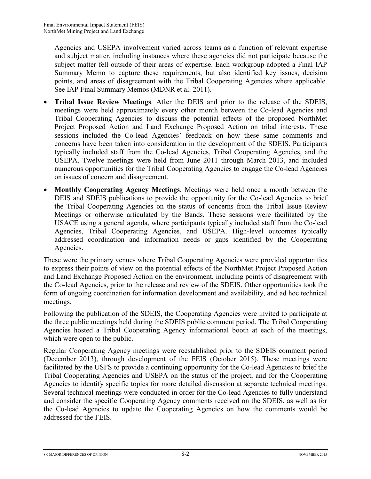Agencies and USEPA involvement varied across teams as a function of relevant expertise and subject matter, including instances where these agencies did not participate because the subject matter fell outside of their areas of expertise. Each workgroup adopted a Final IAP Summary Memo to capture these requirements, but also identified key issues, decision points, and areas of disagreement with the Tribal Cooperating Agencies where applicable. See IAP Final Summary Memos (MDNR et al. 2011).

- **Tribal Issue Review Meetings**. After the DEIS and prior to the release of the SDEIS, meetings were held approximately every other month between the Co-lead Agencies and Tribal Cooperating Agencies to discuss the potential effects of the proposed NorthMet Project Proposed Action and Land Exchange Proposed Action on tribal interests. These sessions included the Co-lead Agencies' feedback on how these same comments and concerns have been taken into consideration in the development of the SDEIS. Participants typically included staff from the Co-lead Agencies, Tribal Cooperating Agencies, and the USEPA. Twelve meetings were held from June 2011 through March 2013, and included numerous opportunities for the Tribal Cooperating Agencies to engage the Co-lead Agencies on issues of concern and disagreement.
- **Monthly Cooperating Agency Meetings**. Meetings were held once a month between the DEIS and SDEIS publications to provide the opportunity for the Co-lead Agencies to brief the Tribal Cooperating Agencies on the status of concerns from the Tribal Issue Review Meetings or otherwise articulated by the Bands. These sessions were facilitated by the USACE using a general agenda, where participants typically included staff from the Co-lead Agencies, Tribal Cooperating Agencies, and USEPA. High-level outcomes typically addressed coordination and information needs or gaps identified by the Cooperating Agencies.

These were the primary venues where Tribal Cooperating Agencies were provided opportunities to express their points of view on the potential effects of the NorthMet Project Proposed Action and Land Exchange Proposed Action on the environment, including points of disagreement with the Co-lead Agencies, prior to the release and review of the SDEIS. Other opportunities took the form of ongoing coordination for information development and availability, and ad hoc technical meetings.

Following the publication of the SDEIS, the Cooperating Agencies were invited to participate at the three public meetings held during the SDEIS public comment period. The Tribal Cooperating Agencies hosted a Tribal Cooperating Agency informational booth at each of the meetings, which were open to the public.

Regular Cooperating Agency meetings were reestablished prior to the SDEIS comment period (December 2013), through development of the FEIS (October 2015). These meetings were facilitated by the USFS to provide a continuing opportunity for the Co-lead Agencies to brief the Tribal Cooperating Agencies and USEPA on the status of the project, and for the Cooperating Agencies to identify specific topics for more detailed discussion at separate technical meetings. Several technical meetings were conducted in order for the Co-lead Agencies to fully understand and consider the specific Cooperating Agency comments received on the SDEIS, as well as for the Co-lead Agencies to update the Cooperating Agencies on how the comments would be addressed for the FEIS.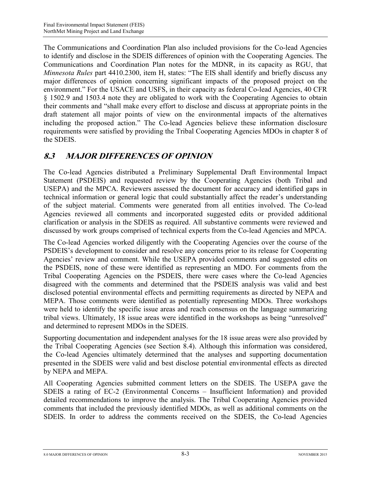The Communications and Coordination Plan also included provisions for the Co-lead Agencies to identify and disclose in the SDEIS differences of opinion with the Cooperating Agencies. The Communications and Coordination Plan notes for the MDNR, in its capacity as RGU, that *Minnesota Rules* part 4410.2300, item H, states: "The EIS shall identify and briefly discuss any major differences of opinion concerning significant impacts of the proposed project on the environment." For the USACE and USFS, in their capacity as federal Co-lead Agencies, 40 CFR § 1502.9 and 1503.4 note they are obligated to work with the Cooperating Agencies to obtain their comments and "shall make every effort to disclose and discuss at appropriate points in the draft statement all major points of view on the environmental impacts of the alternatives including the proposed action." The Co-lead Agencies believe these information disclosure requirements were satisfied by providing the Tribal Cooperating Agencies MDOs in chapter 8 of the SDEIS.

# **8.3 MAJOR DIFFERENCES OF OPINION**

The Co-lead Agencies distributed a Preliminary Supplemental Draft Environmental Impact Statement (PSDEIS) and requested review by the Cooperating Agencies (both Tribal and USEPA) and the MPCA. Reviewers assessed the document for accuracy and identified gaps in technical information or general logic that could substantially affect the reader's understanding of the subject material. Comments were generated from all entities involved. The Co-lead Agencies reviewed all comments and incorporated suggested edits or provided additional clarification or analysis in the SDEIS as required. All substantive comments were reviewed and discussed by work groups comprised of technical experts from the Co-lead Agencies and MPCA.

The Co-lead Agencies worked diligently with the Cooperating Agencies over the course of the PSDEIS's development to consider and resolve any concerns prior to its release for Cooperating Agencies' review and comment. While the USEPA provided comments and suggested edits on the PSDEIS, none of these were identified as representing an MDO. For comments from the Tribal Cooperating Agencies on the PSDEIS, there were cases where the Co-lead Agencies disagreed with the comments and determined that the PSDEIS analysis was valid and best disclosed potential environmental effects and permitting requirements as directed by NEPA and MEPA. Those comments were identified as potentially representing MDOs. Three workshops were held to identify the specific issue areas and reach consensus on the language summarizing tribal views. Ultimately, 18 issue areas were identified in the workshops as being "unresolved" and determined to represent MDOs in the SDEIS.

Supporting documentation and independent analyses for the 18 issue areas were also provided by the Tribal Cooperating Agencies (see Section 8.4). Although this information was considered, the Co-lead Agencies ultimately determined that the analyses and supporting documentation presented in the SDEIS were valid and best disclose potential environmental effects as directed by NEPA and MEPA.

All Cooperating Agencies submitted comment letters on the SDEIS. The USEPA gave the SDEIS a rating of EC-2 (Environmental Concerns – Insufficient Information) and provided detailed recommendations to improve the analysis. The Tribal Cooperating Agencies provided comments that included the previously identified MDOs, as well as additional comments on the SDEIS. In order to address the comments received on the SDEIS, the Co-lead Agencies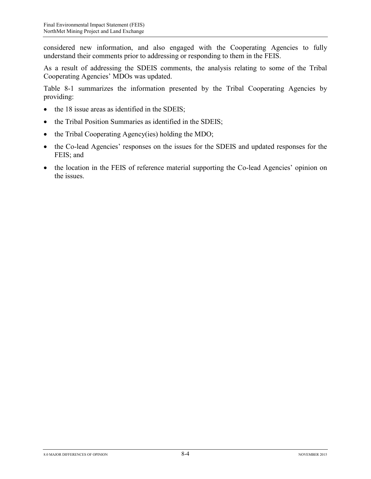considered new information, and also engaged with the Cooperating Agencies to fully understand their comments prior to addressing or responding to them in the FEIS.

As a result of addressing the SDEIS comments, the analysis relating to some of the Tribal Cooperating Agencies' MDOs was updated.

Table 8-1 summarizes the information presented by the Tribal Cooperating Agencies by providing:

- the 18 issue areas as identified in the SDEIS;
- the Tribal Position Summaries as identified in the SDEIS;
- the Tribal Cooperating Agency(ies) holding the MDO;
- the Co-lead Agencies' responses on the issues for the SDEIS and updated responses for the FEIS; and
- the location in the FEIS of reference material supporting the Co-lead Agencies' opinion on the issues.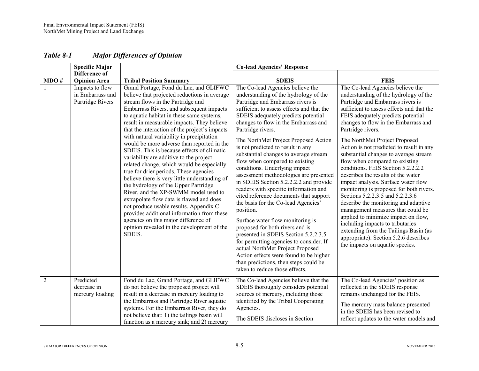|      | <b>Specific Major</b>                                   |                                                                                                                                                                                                                                                                                                                                                                                                                                                                                                                                                                                                                                                                                                                                                                                                                                                                                                                                                                      | <b>Co-lead Agencies' Response</b>                                                                                                                                                                                                                                                                                                                                                                                                                                                                                                                                                                                                                                                                                                                                                                                                                                                                                                                                                                      |                                                                                                                                                                                                                                                                                                                                                                                                                                                                                                                                                                                                                                                                                                                                                                                                                                                                                                       |
|------|---------------------------------------------------------|----------------------------------------------------------------------------------------------------------------------------------------------------------------------------------------------------------------------------------------------------------------------------------------------------------------------------------------------------------------------------------------------------------------------------------------------------------------------------------------------------------------------------------------------------------------------------------------------------------------------------------------------------------------------------------------------------------------------------------------------------------------------------------------------------------------------------------------------------------------------------------------------------------------------------------------------------------------------|--------------------------------------------------------------------------------------------------------------------------------------------------------------------------------------------------------------------------------------------------------------------------------------------------------------------------------------------------------------------------------------------------------------------------------------------------------------------------------------------------------------------------------------------------------------------------------------------------------------------------------------------------------------------------------------------------------------------------------------------------------------------------------------------------------------------------------------------------------------------------------------------------------------------------------------------------------------------------------------------------------|-------------------------------------------------------------------------------------------------------------------------------------------------------------------------------------------------------------------------------------------------------------------------------------------------------------------------------------------------------------------------------------------------------------------------------------------------------------------------------------------------------------------------------------------------------------------------------------------------------------------------------------------------------------------------------------------------------------------------------------------------------------------------------------------------------------------------------------------------------------------------------------------------------|
| MDO# | Difference of<br><b>Opinion Area</b>                    | <b>Tribal Position Summary</b>                                                                                                                                                                                                                                                                                                                                                                                                                                                                                                                                                                                                                                                                                                                                                                                                                                                                                                                                       | <b>SDEIS</b>                                                                                                                                                                                                                                                                                                                                                                                                                                                                                                                                                                                                                                                                                                                                                                                                                                                                                                                                                                                           | <b>FEIS</b>                                                                                                                                                                                                                                                                                                                                                                                                                                                                                                                                                                                                                                                                                                                                                                                                                                                                                           |
|      | Impacts to flow<br>in Embarrass and<br>Partridge Rivers | Grand Portage, Fond du Lac, and GLIFWC<br>believe that projected reductions in average<br>stream flows in the Partridge and<br>Embarrass Rivers, and subsequent impacts<br>to aquatic habitat in these same systems,<br>result in measurable impacts. They believe<br>that the interaction of the project's impacts<br>with natural variability in precipitation<br>would be more adverse than reported in the<br>SDEIS. This is because effects of climatic<br>variability are additive to the project-<br>related change, which would be especially<br>true for drier periods. These agencies<br>believe there is very little understanding of<br>the hydrology of the Upper Partridge<br>River, and the XP-SWMM model used to<br>extrapolate flow data is flawed and does<br>not produce usable results. Appendix C<br>provides additional information from these<br>agencies on this major difference of<br>opinion revealed in the development of the<br>SDEIS. | The Co-lead Agencies believe the<br>understanding of the hydrology of the<br>Partridge and Embarrass rivers is<br>sufficient to assess effects and that the<br>SDEIS adequately predicts potential<br>changes to flow in the Embarrass and<br>Partridge rivers.<br>The NorthMet Project Proposed Action<br>is not predicted to result in any<br>substantial changes to average stream<br>flow when compared to existing<br>conditions. Underlying impact<br>assessment methodologies are presented<br>in SDEIS Section 5.2.2.2.2 and provide<br>readers with specific information and<br>cited reference documents that support<br>the basis for the Co-lead Agencies'<br>position.<br>Surface water flow monitoring is<br>proposed for both rivers and is<br>presented in SDEIS Section 5.2.2.3.5<br>for permitting agencies to consider. If<br>actual NorthMet Project Proposed<br>Action effects were found to be higher<br>than predictions, then steps could be<br>taken to reduce those effects. | The Co-lead Agencies believe the<br>understanding of the hydrology of the<br>Partridge and Embarrass rivers is<br>sufficient to assess effects and that the<br>FEIS adequately predicts potential<br>changes to flow in the Embarrass and<br>Partridge rivers.<br>The NorthMet Project Proposed<br>Action is not predicted to result in any<br>substantial changes to average stream<br>flow when compared to existing<br>conditions. FEIS Section 5.2.2.2.2<br>describes the results of the water<br>impact analysis. Surface water flow<br>monitoring is proposed for both rivers.<br>Sections 5.2.2.3.5 and 5.2.2.3.6<br>describe the monitoring and adaptive<br>management measures that could be<br>applied to minimize impact on flow,<br>including impacts to tributaries<br>extending from the Tailings Basin (as<br>appropriate). Section 5.2.6 describes<br>the impacts on aquatic species. |
| 2    | Predicted<br>decrease in<br>mercury loading             | Fond du Lac, Grand Portage, and GLIFWC<br>do not believe the proposed project will<br>result in a decrease in mercury loading to<br>the Embarrass and Partridge River aquatic<br>systems. For the Embarrass River, they do<br>not believe that: 1) the tailings basin will<br>function as a mercury sink; and 2) mercury                                                                                                                                                                                                                                                                                                                                                                                                                                                                                                                                                                                                                                             | The Co-lead Agencies believe that the<br>SDEIS thoroughly considers potential<br>sources of mercury, including those<br>identified by the Tribal Cooperating<br>Agencies.<br>The SDEIS discloses in Section                                                                                                                                                                                                                                                                                                                                                                                                                                                                                                                                                                                                                                                                                                                                                                                            | The Co-lead Agencies' position as<br>reflected in the SDEIS response<br>remains unchanged for the FEIS.<br>The mercury mass balance presented<br>in the SDEIS has been revised to<br>reflect updates to the water models and                                                                                                                                                                                                                                                                                                                                                                                                                                                                                                                                                                                                                                                                          |

#### *Table 8-1 Major Differences of Opinion*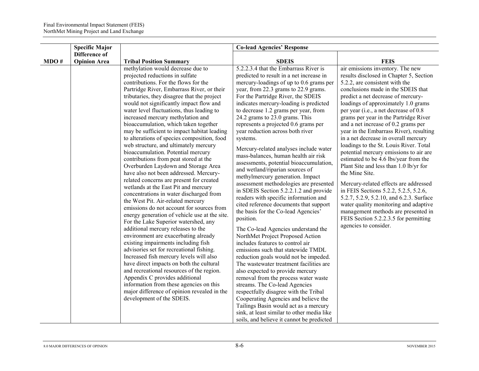|      | <b>Specific Major</b>                       |                                                                                                                                                                                                                                                                                                                                                                                                                                                                                                                                                                                                                                                                                                                                                                                                                                                         | <b>Co-lead Agencies' Response</b>                                                                                                                                                                                                                                                                                                                                                                                                                                                                                                                                                                                                                                                                                                                                       |                                                                                                                                                                                                                                                                                                                                                                                                                                                                                                                                                                                                                                                                                                                                                                                    |
|------|---------------------------------------------|---------------------------------------------------------------------------------------------------------------------------------------------------------------------------------------------------------------------------------------------------------------------------------------------------------------------------------------------------------------------------------------------------------------------------------------------------------------------------------------------------------------------------------------------------------------------------------------------------------------------------------------------------------------------------------------------------------------------------------------------------------------------------------------------------------------------------------------------------------|-------------------------------------------------------------------------------------------------------------------------------------------------------------------------------------------------------------------------------------------------------------------------------------------------------------------------------------------------------------------------------------------------------------------------------------------------------------------------------------------------------------------------------------------------------------------------------------------------------------------------------------------------------------------------------------------------------------------------------------------------------------------------|------------------------------------------------------------------------------------------------------------------------------------------------------------------------------------------------------------------------------------------------------------------------------------------------------------------------------------------------------------------------------------------------------------------------------------------------------------------------------------------------------------------------------------------------------------------------------------------------------------------------------------------------------------------------------------------------------------------------------------------------------------------------------------|
|      |                                             |                                                                                                                                                                                                                                                                                                                                                                                                                                                                                                                                                                                                                                                                                                                                                                                                                                                         |                                                                                                                                                                                                                                                                                                                                                                                                                                                                                                                                                                                                                                                                                                                                                                         |                                                                                                                                                                                                                                                                                                                                                                                                                                                                                                                                                                                                                                                                                                                                                                                    |
|      |                                             |                                                                                                                                                                                                                                                                                                                                                                                                                                                                                                                                                                                                                                                                                                                                                                                                                                                         |                                                                                                                                                                                                                                                                                                                                                                                                                                                                                                                                                                                                                                                                                                                                                                         |                                                                                                                                                                                                                                                                                                                                                                                                                                                                                                                                                                                                                                                                                                                                                                                    |
| MDO# | <b>Difference of</b><br><b>Opinion Area</b> | <b>Tribal Position Summary</b><br>methylation would decrease due to<br>projected reductions in sulfate<br>contributions. For the flows for the<br>Partridge River, Embarrass River, or their<br>tributaries, they disagree that the project<br>would not significantly impact flow and<br>water level fluctuations, thus leading to<br>increased mercury methylation and<br>bioaccumulation, which taken together<br>may be sufficient to impact habitat leading<br>to alterations of species composition, food<br>web structure, and ultimately mercury<br>bioaccumulation. Potential mercury<br>contributions from peat stored at the<br>Overburden Laydown and Storage Area<br>have also not been addressed. Mercury-<br>related concerns are present for created<br>wetlands at the East Pit and mercury<br>concentrations in water discharged from | <b>SDEIS</b><br>5.2.2.3.4 that the Embarrass River is<br>predicted to result in a net increase in<br>mercury-loadings of up to 0.6 grams per<br>year, from 22.3 grams to 22.9 grams.<br>For the Partridge River, the SDEIS<br>indicates mercury-loading is predicted<br>to decrease 1.2 grams per year, from<br>24.2 grams to 23.0 grams. This<br>represents a projected 0.6 grams per<br>year reduction across both river<br>systems.<br>Mercury-related analyses include water<br>mass-balances, human health air risk<br>assessments, potential bioaccumulation,<br>and wetland/riparian sources of<br>methylmercury generation. Impact<br>assessment methodologies are presented<br>in SDEIS Section 5.2.2.1.2 and provide<br>readers with specific information and | <b>FEIS</b><br>air emissions inventory. The new<br>results disclosed in Chapter 5, Section<br>5.2.2, are consistent with the<br>conclusions made in the SDEIS that<br>predict a net decrease of mercury-<br>loadings of approximately 1.0 grams<br>per year (i.e., a net decrease of 0.8<br>grams per year in the Partridge River<br>and a net increase of 0.2 grams per<br>year in the Embarrass River), resulting<br>in a net decrease in overall mercury<br>loadings to the St. Louis River. Total<br>potential mercury emissions to air are<br>estimated to be 4.6 lbs/year from the<br>Plant Site and less than 1.0 lb/yr for<br>the Mine Site.<br>Mercury-related effects are addressed<br>in FEIS Sections 5.2.2, 5.2.5, 5.2.6,<br>5.2.7, 5.2.9, 5.2.10, and 6.2.3. Surface |
|      |                                             | the West Pit. Air-related mercury<br>emissions do not account for sources from<br>energy generation of vehicle use at the site.<br>For the Lake Superior watershed, any<br>additional mercury releases to the<br>environment are exacerbating already<br>existing impairments including fish<br>advisories set for recreational fishing.<br>Increased fish mercury levels will also<br>have direct impacts on both the cultural<br>and recreational resources of the region.<br>Appendix C provides additional<br>information from these agencies on this<br>major difference of opinion revealed in the<br>development of the SDEIS.                                                                                                                                                                                                                   | cited reference documents that support<br>the basis for the Co-lead Agencies'<br>position.<br>The Co-lead Agencies understand the<br>NorthMet Project Proposed Action<br>includes features to control air<br>emissions such that statewide TMDL<br>reduction goals would not be impeded.<br>The wastewater treatment facilities are<br>also expected to provide mercury<br>removal from the process water waste<br>streams. The Co-lead Agencies<br>respectfully disagree with the Tribal<br>Cooperating Agencies and believe the<br>Tailings Basin would act as a mercury<br>sink, at least similar to other media like<br>soils, and believe it cannot be predicted                                                                                                   | water quality monitoring and adaptive<br>management methods are presented in<br>FEIS Section 5.2.2.3.5 for permitting<br>agencies to consider.                                                                                                                                                                                                                                                                                                                                                                                                                                                                                                                                                                                                                                     |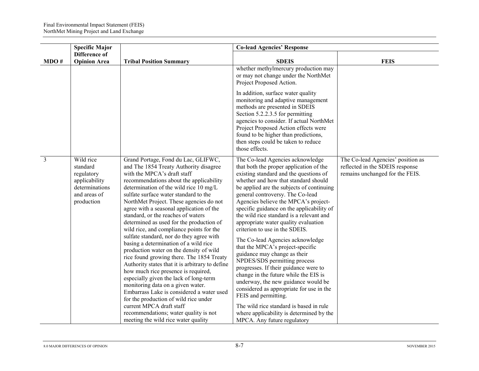|                | <b>Specific Major</b>                                                                                |                                                                                                                                                                                                                                                                                                                                                                                                                                                                                                                                                                                                                                                                                                                                                                                                                                                                                                                                                                                                                         | <b>Co-lead Agencies' Response</b>                                                                                                                                                                                                                                                                                                                                                                                                                                                                                                                                                                                                                                                                                                                                                                                                                                                                                    |                                                                                                         |
|----------------|------------------------------------------------------------------------------------------------------|-------------------------------------------------------------------------------------------------------------------------------------------------------------------------------------------------------------------------------------------------------------------------------------------------------------------------------------------------------------------------------------------------------------------------------------------------------------------------------------------------------------------------------------------------------------------------------------------------------------------------------------------------------------------------------------------------------------------------------------------------------------------------------------------------------------------------------------------------------------------------------------------------------------------------------------------------------------------------------------------------------------------------|----------------------------------------------------------------------------------------------------------------------------------------------------------------------------------------------------------------------------------------------------------------------------------------------------------------------------------------------------------------------------------------------------------------------------------------------------------------------------------------------------------------------------------------------------------------------------------------------------------------------------------------------------------------------------------------------------------------------------------------------------------------------------------------------------------------------------------------------------------------------------------------------------------------------|---------------------------------------------------------------------------------------------------------|
| MDO#           | Difference of<br><b>Opinion Area</b>                                                                 | <b>Tribal Position Summary</b>                                                                                                                                                                                                                                                                                                                                                                                                                                                                                                                                                                                                                                                                                                                                                                                                                                                                                                                                                                                          | <b>SDEIS</b>                                                                                                                                                                                                                                                                                                                                                                                                                                                                                                                                                                                                                                                                                                                                                                                                                                                                                                         | <b>FEIS</b>                                                                                             |
|                |                                                                                                      |                                                                                                                                                                                                                                                                                                                                                                                                                                                                                                                                                                                                                                                                                                                                                                                                                                                                                                                                                                                                                         | whether methylmercury production may<br>or may not change under the NorthMet<br>Project Proposed Action.<br>In addition, surface water quality<br>monitoring and adaptive management<br>methods are presented in SDEIS<br>Section 5.2.2.3.5 for permitting<br>agencies to consider. If actual NorthMet<br>Project Proposed Action effects were<br>found to be higher than predictions,<br>then steps could be taken to reduce<br>those effects.                                                                                                                                                                                                                                                                                                                                                                                                                                                                      |                                                                                                         |
| $\overline{3}$ | Wild rice<br>standard<br>regulatory<br>applicability<br>determinations<br>and areas of<br>production | Grand Portage, Fond du Lac, GLIFWC,<br>and The 1854 Treaty Authority disagree<br>with the MPCA's draft staff<br>recommendations about the applicability<br>determination of the wild rice 10 mg/L<br>sulfate surface water standard to the<br>NorthMet Project. These agencies do not<br>agree with a seasonal application of the<br>standard, or the reaches of waters<br>determined as used for the production of<br>wild rice, and compliance points for the<br>sulfate standard, nor do they agree with<br>basing a determination of a wild rice<br>production water on the density of wild<br>rice found growing there. The 1854 Treaty<br>Authority states that it is arbitrary to define<br>how much rice presence is required,<br>especially given the lack of long-term<br>monitoring data on a given water.<br>Embarrass Lake is considered a water used<br>for the production of wild rice under<br>current MPCA draft staff<br>recommendations; water quality is not<br>meeting the wild rice water quality | The Co-lead Agencies acknowledge<br>that both the proper application of the<br>existing standard and the questions of<br>whether and how that standard should<br>be applied are the subjects of continuing<br>general controversy. The Co-lead<br>Agencies believe the MPCA's project-<br>specific guidance on the applicability of<br>the wild rice standard is a relevant and<br>appropriate water quality evaluation<br>criterion to use in the SDEIS.<br>The Co-lead Agencies acknowledge<br>that the MPCA's project-specific<br>guidance may change as their<br>NPDES/SDS permitting process<br>progresses. If their guidance were to<br>change in the future while the EIS is<br>underway, the new guidance would be<br>considered as appropriate for use in the<br>FEIS and permitting.<br>The wild rice standard is based in rule<br>where applicability is determined by the<br>MPCA. Any future regulatory | The Co-lead Agencies' position as<br>reflected in the SDEIS response<br>remains unchanged for the FEIS. |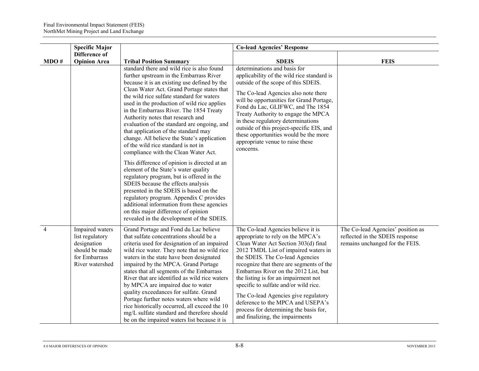|                | <b>Specific Major</b>                                                                                   |                                                                                                                                                                                                                                                                                                                                                                                                                                                                                                                                                                                                                                                                                                                                                                                                                                                                                                                                                                                        | <b>Co-lead Agencies' Response</b>                                                                                                                                                                                                                                                                                                                                                                                                                                                                                          |                                                                                                         |
|----------------|---------------------------------------------------------------------------------------------------------|----------------------------------------------------------------------------------------------------------------------------------------------------------------------------------------------------------------------------------------------------------------------------------------------------------------------------------------------------------------------------------------------------------------------------------------------------------------------------------------------------------------------------------------------------------------------------------------------------------------------------------------------------------------------------------------------------------------------------------------------------------------------------------------------------------------------------------------------------------------------------------------------------------------------------------------------------------------------------------------|----------------------------------------------------------------------------------------------------------------------------------------------------------------------------------------------------------------------------------------------------------------------------------------------------------------------------------------------------------------------------------------------------------------------------------------------------------------------------------------------------------------------------|---------------------------------------------------------------------------------------------------------|
| MDO#           | <b>Difference of</b><br><b>Opinion Area</b>                                                             | <b>Tribal Position Summary</b>                                                                                                                                                                                                                                                                                                                                                                                                                                                                                                                                                                                                                                                                                                                                                                                                                                                                                                                                                         | <b>SDEIS</b>                                                                                                                                                                                                                                                                                                                                                                                                                                                                                                               | <b>FEIS</b>                                                                                             |
|                |                                                                                                         | standard there and wild rice is also found<br>further upstream in the Embarrass River<br>because it is an existing use defined by the<br>Clean Water Act. Grand Portage states that<br>the wild rice sulfate standard for waters<br>used in the production of wild rice applies<br>in the Embarrass River. The 1854 Treaty<br>Authority notes that research and<br>evaluation of the standard are ongoing, and<br>that application of the standard may<br>change. All believe the State's application<br>of the wild rice standard is not in<br>compliance with the Clean Water Act.<br>This difference of opinion is directed at an<br>element of the State's water quality<br>regulatory program, but is offered in the<br>SDEIS because the effects analysis<br>presented in the SDEIS is based on the<br>regulatory program. Appendix C provides<br>additional information from these agencies<br>on this major difference of opinion<br>revealed in the development of the SDEIS. | determinations and basis for<br>applicability of the wild rice standard is<br>outside of the scope of this SDEIS.<br>The Co-lead Agencies also note there<br>will be opportunities for Grand Portage,<br>Fond du Lac, GLIFWC, and The 1854<br>Treaty Authority to engage the MPCA<br>in these regulatory determinations<br>outside of this project-specific EIS, and<br>these opportunities would be the more<br>appropriate venue to raise these<br>concerns.                                                             |                                                                                                         |
| $\overline{4}$ | Impaired waters<br>list regulatory<br>designation<br>should be made<br>for Embarrass<br>River watershed | Grand Portage and Fond du Lac believe<br>that sulfate concentrations should be a<br>criteria used for designation of an impaired<br>wild rice water. They note that no wild rice<br>waters in the state have been designated<br>impaired by the MPCA. Grand Portage<br>states that all segments of the Embarrass<br>River that are identified as wild rice waters<br>by MPCA are impaired due to water<br>quality exceedances for sulfate. Grand<br>Portage further notes waters where wild<br>rice historically occurred, all exceed the 10<br>mg/L sulfate standard and therefore should<br>be on the impaired waters list because it is                                                                                                                                                                                                                                                                                                                                             | The Co-lead Agencies believe it is<br>appropriate to rely on the MPCA's<br>Clean Water Act Section 303(d) final<br>2012 TMDL List of impaired waters in<br>the SDEIS. The Co-lead Agencies<br>recognize that there are segments of the<br>Embarrass River on the 2012 List, but<br>the listing is for an impairment not<br>specific to sulfate and/or wild rice.<br>The Co-lead Agencies give regulatory<br>deference to the MPCA and USEPA's<br>process for determining the basis for,<br>and finalizing, the impairments | The Co-lead Agencies' position as<br>reflected in the SDEIS response<br>remains unchanged for the FEIS. |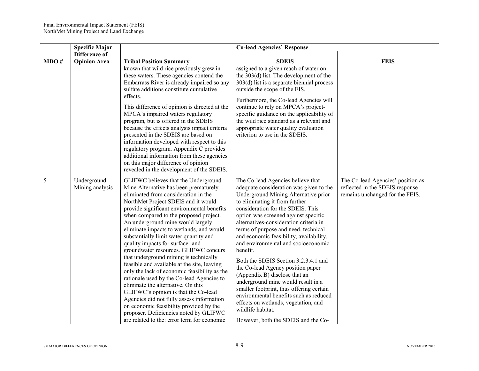|      | <b>Specific Major</b>                |                                                                                                                                                                                                                                                                                                                                                                                                                                                                                                                                                                                                                                                                                                                                                                                                                                                                                                                   | <b>Co-lead Agencies' Response</b>                                                                                                                                                                                                                                                                                                                                                                                                                                                                                                                                                                                                                                                                                                                                 |                                                                                                         |
|------|--------------------------------------|-------------------------------------------------------------------------------------------------------------------------------------------------------------------------------------------------------------------------------------------------------------------------------------------------------------------------------------------------------------------------------------------------------------------------------------------------------------------------------------------------------------------------------------------------------------------------------------------------------------------------------------------------------------------------------------------------------------------------------------------------------------------------------------------------------------------------------------------------------------------------------------------------------------------|-------------------------------------------------------------------------------------------------------------------------------------------------------------------------------------------------------------------------------------------------------------------------------------------------------------------------------------------------------------------------------------------------------------------------------------------------------------------------------------------------------------------------------------------------------------------------------------------------------------------------------------------------------------------------------------------------------------------------------------------------------------------|---------------------------------------------------------------------------------------------------------|
| MDO# | Difference of<br><b>Opinion Area</b> | <b>Tribal Position Summary</b>                                                                                                                                                                                                                                                                                                                                                                                                                                                                                                                                                                                                                                                                                                                                                                                                                                                                                    | <b>SDEIS</b>                                                                                                                                                                                                                                                                                                                                                                                                                                                                                                                                                                                                                                                                                                                                                      | <b>FEIS</b>                                                                                             |
|      |                                      | known that wild rice previously grew in<br>these waters. These agencies contend the<br>Embarrass River is already impaired so any<br>sulfate additions constitute cumulative<br>effects.<br>This difference of opinion is directed at the<br>MPCA's impaired waters regulatory<br>program, but is offered in the SDEIS<br>because the effects analysis impact criteria<br>presented in the SDEIS are based on<br>information developed with respect to this<br>regulatory program. Appendix C provides<br>additional information from these agencies<br>on this major difference of opinion<br>revealed in the development of the SDEIS.                                                                                                                                                                                                                                                                          | assigned to a given reach of water on<br>the $303(d)$ list. The development of the<br>$303(d)$ list is a separate biennial process<br>outside the scope of the EIS.<br>Furthermore, the Co-lead Agencies will<br>continue to rely on MPCA's project-<br>specific guidance on the applicability of<br>the wild rice standard as a relevant and<br>appropriate water quality evaluation<br>criterion to use in the SDEIS.                                                                                                                                                                                                                                                                                                                                           |                                                                                                         |
| 5    | Underground<br>Mining analysis       | GLIFWC believes that the Underground<br>Mine Alternative has been prematurely<br>eliminated from consideration in the<br>NorthMet Project SDEIS and it would<br>provide significant environmental benefits<br>when compared to the proposed project.<br>An underground mine would largely<br>eliminate impacts to wetlands, and would<br>substantially limit water quantity and<br>quality impacts for surface- and<br>groundwater resources. GLIFWC concurs<br>that underground mining is technically<br>feasible and available at the site, leaving<br>only the lack of economic feasibility as the<br>rationale used by the Co-lead Agencies to<br>eliminate the alternative. On this<br>GLIFWC's opinion is that the Co-lead<br>Agencies did not fully assess information<br>on economic feasibility provided by the<br>proposer. Deficiencies noted by GLIFWC<br>are related to the: error term for economic | The Co-lead Agencies believe that<br>adequate consideration was given to the<br>Underground Mining Alternative prior<br>to eliminating it from further<br>consideration for the SDEIS. This<br>option was screened against specific<br>alternatives-consideration criteria in<br>terms of purpose and need, technical<br>and economic feasibility, availability,<br>and environmental and socioeconomic<br>benefit.<br>Both the SDEIS Section 3.2.3.4.1 and<br>the Co-lead Agency position paper<br>(Appendix B) disclose that an<br>underground mine would result in a<br>smaller footprint, thus offering certain<br>environmental benefits such as reduced<br>effects on wetlands, vegetation, and<br>wildlife habitat.<br>However, both the SDEIS and the Co- | The Co-lead Agencies' position as<br>reflected in the SDEIS response<br>remains unchanged for the FEIS. |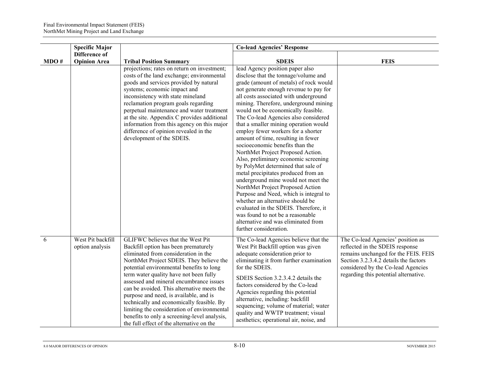|      | <b>Specific Major</b>                |                                                                                                                                                                                                                                                                                                                                                                                                                                                                                                                                                                                 | <b>Co-lead Agencies' Response</b>                                                                                                                                                                                                                                                                                                                                                                                                                                                                                                                                                                                                                                                                                                                                                                                                                                                                                                                     |                                                                                                                                                                                                                                      |
|------|--------------------------------------|---------------------------------------------------------------------------------------------------------------------------------------------------------------------------------------------------------------------------------------------------------------------------------------------------------------------------------------------------------------------------------------------------------------------------------------------------------------------------------------------------------------------------------------------------------------------------------|-------------------------------------------------------------------------------------------------------------------------------------------------------------------------------------------------------------------------------------------------------------------------------------------------------------------------------------------------------------------------------------------------------------------------------------------------------------------------------------------------------------------------------------------------------------------------------------------------------------------------------------------------------------------------------------------------------------------------------------------------------------------------------------------------------------------------------------------------------------------------------------------------------------------------------------------------------|--------------------------------------------------------------------------------------------------------------------------------------------------------------------------------------------------------------------------------------|
| MDO# | Difference of<br><b>Opinion Area</b> | <b>Tribal Position Summary</b>                                                                                                                                                                                                                                                                                                                                                                                                                                                                                                                                                  | <b>SDEIS</b>                                                                                                                                                                                                                                                                                                                                                                                                                                                                                                                                                                                                                                                                                                                                                                                                                                                                                                                                          | <b>FEIS</b>                                                                                                                                                                                                                          |
|      |                                      | projections; rates on return on investment;<br>costs of the land exchange; environmental<br>goods and services provided by natural<br>systems; economic impact and<br>inconsistency with state mineland<br>reclamation program goals regarding<br>perpetual maintenance and water treatment<br>at the site. Appendix C provides additional<br>information from this agency on this major<br>difference of opinion revealed in the<br>development of the SDEIS.                                                                                                                  | lead Agency position paper also<br>disclose that the tonnage/volume and<br>grade (amount of metals) of rock would<br>not generate enough revenue to pay for<br>all costs associated with underground<br>mining. Therefore, underground mining<br>would not be economically feasible.<br>The Co-lead Agencies also considered<br>that a smaller mining operation would<br>employ fewer workers for a shorter<br>amount of time, resulting in fewer<br>socioeconomic benefits than the<br>NorthMet Project Proposed Action.<br>Also, preliminary economic screening<br>by PolyMet determined that sale of<br>metal precipitates produced from an<br>underground mine would not meet the<br>NorthMet Project Proposed Action<br>Purpose and Need, which is integral to<br>whether an alternative should be<br>evaluated in the SDEIS. Therefore, it<br>was found to not be a reasonable<br>alternative and was eliminated from<br>further consideration. |                                                                                                                                                                                                                                      |
| 6    | West Pit backfill<br>option analysis | GLIFWC believes that the West Pit<br>Backfill option has been prematurely<br>eliminated from consideration in the<br>NorthMet Project SDEIS. They believe the<br>potential environmental benefits to long<br>term water quality have not been fully<br>assessed and mineral encumbrance issues<br>can be avoided. This alternative meets the<br>purpose and need, is available, and is<br>technically and economically feasible. By<br>limiting the consideration of environmental<br>benefits to only a screening-level analysis,<br>the full effect of the alternative on the | The Co-lead Agencies believe that the<br>West Pit Backfill option was given<br>adequate consideration prior to<br>eliminating it from further examination<br>for the SDEIS.<br>SDEIS Section 3.2.3.4.2 details the<br>factors considered by the Co-lead<br>Agencies regarding this potential<br>alternative, including: backfill<br>sequencing; volume of material; water<br>quality and WWTP treatment; visual<br>aesthetics; operational air, noise, and                                                                                                                                                                                                                                                                                                                                                                                                                                                                                            | The Co-lead Agencies' position as<br>reflected in the SDEIS response<br>remains unchanged for the FEIS. FEIS<br>Section 3.2.3.4.2 details the factors<br>considered by the Co-lead Agencies<br>regarding this potential alternative. |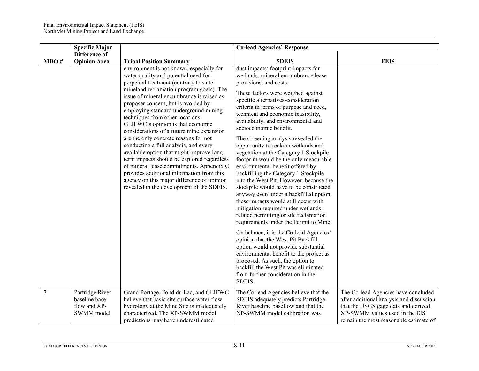|                | <b>Specific Major</b>                                          |                                                                                                                                                                                                                                                                                                                                                                                                                                                                                                                                                                                                                                                                                                                                                                                           | <b>Co-lead Agencies' Response</b>                                                                                                                                                                                                                                                                                                                                                                                                                                                                                                                                                                                                                                                                                                                                                                                                                                                                                                                                                                                                                                                                                                                                                  |                                                                                                                                                                                                    |
|----------------|----------------------------------------------------------------|-------------------------------------------------------------------------------------------------------------------------------------------------------------------------------------------------------------------------------------------------------------------------------------------------------------------------------------------------------------------------------------------------------------------------------------------------------------------------------------------------------------------------------------------------------------------------------------------------------------------------------------------------------------------------------------------------------------------------------------------------------------------------------------------|------------------------------------------------------------------------------------------------------------------------------------------------------------------------------------------------------------------------------------------------------------------------------------------------------------------------------------------------------------------------------------------------------------------------------------------------------------------------------------------------------------------------------------------------------------------------------------------------------------------------------------------------------------------------------------------------------------------------------------------------------------------------------------------------------------------------------------------------------------------------------------------------------------------------------------------------------------------------------------------------------------------------------------------------------------------------------------------------------------------------------------------------------------------------------------|----------------------------------------------------------------------------------------------------------------------------------------------------------------------------------------------------|
| MDO#           | Difference of<br><b>Opinion Area</b>                           | <b>Tribal Position Summary</b>                                                                                                                                                                                                                                                                                                                                                                                                                                                                                                                                                                                                                                                                                                                                                            | <b>SDEIS</b>                                                                                                                                                                                                                                                                                                                                                                                                                                                                                                                                                                                                                                                                                                                                                                                                                                                                                                                                                                                                                                                                                                                                                                       | <b>FEIS</b>                                                                                                                                                                                        |
|                |                                                                | environment is not known, especially for<br>water quality and potential need for<br>perpetual treatment (contrary to state<br>mineland reclamation program goals). The<br>issue of mineral encumbrance is raised as<br>proposer concern, but is avoided by<br>employing standard underground mining<br>techniques from other locations.<br>GLIFWC's opinion is that economic<br>considerations of a future mine expansion<br>are the only concrete reasons for not<br>conducting a full analysis, and every<br>available option that might improve long<br>term impacts should be explored regardless<br>of mineral lease commitments. Appendix C<br>provides additional information from this<br>agency on this major difference of opinion<br>revealed in the development of the SDEIS. | dust impacts; footprint impacts for<br>wetlands; mineral encumbrance lease<br>provisions; and costs.<br>These factors were weighed against<br>specific alternatives-consideration<br>criteria in terms of purpose and need,<br>technical and economic feasibility,<br>availability, and environmental and<br>socioeconomic benefit.<br>The screening analysis revealed the<br>opportunity to reclaim wetlands and<br>vegetation at the Category 1 Stockpile<br>footprint would be the only measurable<br>environmental benefit offered by<br>backfilling the Category 1 Stockpile<br>into the West Pit. However, because the<br>stockpile would have to be constructed<br>anyway even under a backfilled option,<br>these impacts would still occur with<br>mitigation required under wetlands-<br>related permitting or site reclamation<br>requirements under the Permit to Mine.<br>On balance, it is the Co-lead Agencies'<br>opinion that the West Pit Backfill<br>option would not provide substantial<br>environmental benefit to the project as<br>proposed. As such, the option to<br>backfill the West Pit was eliminated<br>from further consideration in the<br>SDEIS. |                                                                                                                                                                                                    |
| $\overline{7}$ | Partridge River<br>baseline base<br>flow and XP-<br>SWMM model | Grand Portage, Fond du Lac, and GLIFWC<br>believe that basic site surface water flow<br>hydrology at the Mine Site is inadequately<br>characterized. The XP-SWMM model<br>predictions may have underestimated                                                                                                                                                                                                                                                                                                                                                                                                                                                                                                                                                                             | The Co-lead Agencies believe that the<br>SDEIS adequately predicts Partridge<br>River baseline baseflow and that the<br>XP-SWMM model calibration was                                                                                                                                                                                                                                                                                                                                                                                                                                                                                                                                                                                                                                                                                                                                                                                                                                                                                                                                                                                                                              | The Co-lead Agencies have concluded<br>after additional analysis and discussion<br>that the USGS gage data and derived<br>XP-SWMM values used in the EIS<br>remain the most reasonable estimate of |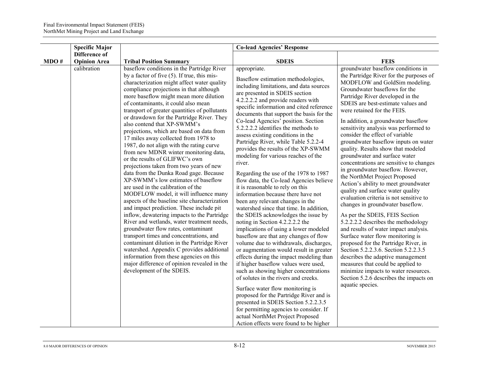|      | <b>Specific Major</b> |                                                                                                                                                                                                                                                                                                                                                                                                                                                                                                                                                                                                                                                                                                                                                                                                                                                                                                                                                                                                                                                                                                                                                                                                                                                                                                                            | <b>Co-lead Agencies' Response</b>                                                                                                                                                                                                                                                                                                                                                                                                                                                                                                                                                                                                                                                                                                                                                                                                                                                                                                                                                                                                                                                                                                                                                                                                                                                                                                                                                                                                  |                                                                                                                                                                                                                                                                                                                                                                                                                                                                                                                                                                                                                                                                                                                                                                                                                                                                                                                                                                                                                                                                                                                                                                                               |
|------|-----------------------|----------------------------------------------------------------------------------------------------------------------------------------------------------------------------------------------------------------------------------------------------------------------------------------------------------------------------------------------------------------------------------------------------------------------------------------------------------------------------------------------------------------------------------------------------------------------------------------------------------------------------------------------------------------------------------------------------------------------------------------------------------------------------------------------------------------------------------------------------------------------------------------------------------------------------------------------------------------------------------------------------------------------------------------------------------------------------------------------------------------------------------------------------------------------------------------------------------------------------------------------------------------------------------------------------------------------------|------------------------------------------------------------------------------------------------------------------------------------------------------------------------------------------------------------------------------------------------------------------------------------------------------------------------------------------------------------------------------------------------------------------------------------------------------------------------------------------------------------------------------------------------------------------------------------------------------------------------------------------------------------------------------------------------------------------------------------------------------------------------------------------------------------------------------------------------------------------------------------------------------------------------------------------------------------------------------------------------------------------------------------------------------------------------------------------------------------------------------------------------------------------------------------------------------------------------------------------------------------------------------------------------------------------------------------------------------------------------------------------------------------------------------------|-----------------------------------------------------------------------------------------------------------------------------------------------------------------------------------------------------------------------------------------------------------------------------------------------------------------------------------------------------------------------------------------------------------------------------------------------------------------------------------------------------------------------------------------------------------------------------------------------------------------------------------------------------------------------------------------------------------------------------------------------------------------------------------------------------------------------------------------------------------------------------------------------------------------------------------------------------------------------------------------------------------------------------------------------------------------------------------------------------------------------------------------------------------------------------------------------|
|      | Difference of         |                                                                                                                                                                                                                                                                                                                                                                                                                                                                                                                                                                                                                                                                                                                                                                                                                                                                                                                                                                                                                                                                                                                                                                                                                                                                                                                            |                                                                                                                                                                                                                                                                                                                                                                                                                                                                                                                                                                                                                                                                                                                                                                                                                                                                                                                                                                                                                                                                                                                                                                                                                                                                                                                                                                                                                                    |                                                                                                                                                                                                                                                                                                                                                                                                                                                                                                                                                                                                                                                                                                                                                                                                                                                                                                                                                                                                                                                                                                                                                                                               |
| MDO# | <b>Opinion Area</b>   | <b>Tribal Position Summary</b>                                                                                                                                                                                                                                                                                                                                                                                                                                                                                                                                                                                                                                                                                                                                                                                                                                                                                                                                                                                                                                                                                                                                                                                                                                                                                             | <b>SDEIS</b>                                                                                                                                                                                                                                                                                                                                                                                                                                                                                                                                                                                                                                                                                                                                                                                                                                                                                                                                                                                                                                                                                                                                                                                                                                                                                                                                                                                                                       | <b>FEIS</b>                                                                                                                                                                                                                                                                                                                                                                                                                                                                                                                                                                                                                                                                                                                                                                                                                                                                                                                                                                                                                                                                                                                                                                                   |
|      | calibration           | baseflow conditions in the Partridge River<br>by a factor of five $(5)$ . If true, this mis-<br>characterization might affect water quality<br>compliance projections in that although<br>more baseflow might mean more dilution<br>of contaminants, it could also mean<br>transport of greater quantities of pollutants<br>or drawdown for the Partridge River. They<br>also contend that XP-SWMM's<br>projections, which are based on data from<br>17 miles away collected from 1978 to<br>1987, do not align with the rating curve<br>from new MDNR winter monitoring data,<br>or the results of GLIFWC's own<br>projections taken from two years of new<br>data from the Dunka Road gage. Because<br>XP-SWMM's low estimates of baseflow<br>are used in the calibration of the<br>MODFLOW model, it will influence many<br>aspects of the baseline site characterization<br>and impact prediction. These include pit<br>inflow, dewatering impacts to the Partridge<br>River and wetlands, water treatment needs,<br>groundwater flow rates, contaminant<br>transport times and concentrations, and<br>contaminant dilution in the Partridge River<br>watershed. Appendix C provides additional<br>information from these agencies on this<br>major difference of opinion revealed in the<br>development of the SDEIS. | appropriate.<br>Baseflow estimation methodologies,<br>including limitations, and data sources<br>are presented in SDEIS section<br>4.2.2.2.2 and provide readers with<br>specific information and cited reference<br>documents that support the basis for the<br>Co-lead Agencies' position. Section<br>5.2.2.2.2 identifies the methods to<br>assess existing conditions in the<br>Partridge River, while Table 5.2.2-4<br>provides the results of the XP-SWMM<br>modeling for various reaches of the<br>river.<br>Regarding the use of the 1978 to 1987<br>flow data, the Co-lead Agencies believe<br>it is reasonable to rely on this<br>information because there have not<br>been any relevant changes in the<br>watershed since that time. In addition,<br>the SDEIS acknowledges the issue by<br>noting in Section 4.2.2.2.2 the<br>implications of using a lower modeled<br>baseflow are that any changes of flow<br>volume due to withdrawals, discharges,<br>or augmentation would result in greater<br>effects during the impact modeling than<br>if higher baseflow values were used,<br>such as showing higher concentrations<br>of solutes in the rivers and creeks.<br>Surface water flow monitoring is<br>proposed for the Partridge River and is<br>presented in SDEIS Section 5.2.2.3.5<br>for permitting agencies to consider. If<br>actual NorthMet Project Proposed<br>Action effects were found to be higher | groundwater baseflow conditions in<br>the Partridge River for the purposes of<br>MODFLOW and GoldSim modeling.<br>Groundwater baseflows for the<br>Partridge River developed in the<br>SDEIS are best-estimate values and<br>were retained for the FEIS.<br>In addition, a groundwater baseflow<br>sensitivity analysis was performed to<br>consider the effect of variable<br>groundwater baseflow inputs on water<br>quality. Results show that modeled<br>groundwater and surface water<br>concentrations are sensitive to changes<br>in groundwater baseflow. However,<br>the NorthMet Project Proposed<br>Action's ability to meet groundwater<br>quality and surface water quality<br>evaluation criteria is not sensitive to<br>changes in groundwater baseflow.<br>As per the SDEIS, FEIS Section<br>5.2.2.2.2 describes the methodology<br>and results of water impact analysis.<br>Surface water flow monitoring is<br>proposed for the Partridge River, in<br>Section 5.2.2.3.6. Section 5.2.2.3.5<br>describes the adaptive management<br>measures that could be applied to<br>minimize impacts to water resources.<br>Section 5.2.6 describes the impacts on<br>aquatic species. |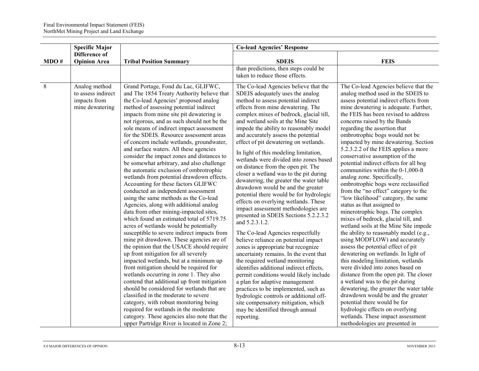|      | <b>Specific Major</b>                                                  |                                                                                                                                                                                                                                                                                                                                                                                                                                                                                                                                                                                                                                                                                                                                                                                                                                                                                                                                                                                                                                                                                                                                                                                                                                                                                                                                                                                                                                                                             | <b>Co-lead Agencies' Response</b>                                                                                                                                                                                                                                                                                                                                                                                                                                                                                                                                                                                                                                                                                                                                                                                                                                                                                                                                                                                                                                                                                                                                                                                                                                                            |                                                                                                                                                                                                                                                                                                                                                                                                                                                                                                                                                                                                                                                                                                                                                                                                                                                                                                                                                                                                                                                                                                                                                                                                                                                                                  |
|------|------------------------------------------------------------------------|-----------------------------------------------------------------------------------------------------------------------------------------------------------------------------------------------------------------------------------------------------------------------------------------------------------------------------------------------------------------------------------------------------------------------------------------------------------------------------------------------------------------------------------------------------------------------------------------------------------------------------------------------------------------------------------------------------------------------------------------------------------------------------------------------------------------------------------------------------------------------------------------------------------------------------------------------------------------------------------------------------------------------------------------------------------------------------------------------------------------------------------------------------------------------------------------------------------------------------------------------------------------------------------------------------------------------------------------------------------------------------------------------------------------------------------------------------------------------------|----------------------------------------------------------------------------------------------------------------------------------------------------------------------------------------------------------------------------------------------------------------------------------------------------------------------------------------------------------------------------------------------------------------------------------------------------------------------------------------------------------------------------------------------------------------------------------------------------------------------------------------------------------------------------------------------------------------------------------------------------------------------------------------------------------------------------------------------------------------------------------------------------------------------------------------------------------------------------------------------------------------------------------------------------------------------------------------------------------------------------------------------------------------------------------------------------------------------------------------------------------------------------------------------|----------------------------------------------------------------------------------------------------------------------------------------------------------------------------------------------------------------------------------------------------------------------------------------------------------------------------------------------------------------------------------------------------------------------------------------------------------------------------------------------------------------------------------------------------------------------------------------------------------------------------------------------------------------------------------------------------------------------------------------------------------------------------------------------------------------------------------------------------------------------------------------------------------------------------------------------------------------------------------------------------------------------------------------------------------------------------------------------------------------------------------------------------------------------------------------------------------------------------------------------------------------------------------|
|      | Difference of                                                          |                                                                                                                                                                                                                                                                                                                                                                                                                                                                                                                                                                                                                                                                                                                                                                                                                                                                                                                                                                                                                                                                                                                                                                                                                                                                                                                                                                                                                                                                             |                                                                                                                                                                                                                                                                                                                                                                                                                                                                                                                                                                                                                                                                                                                                                                                                                                                                                                                                                                                                                                                                                                                                                                                                                                                                                              |                                                                                                                                                                                                                                                                                                                                                                                                                                                                                                                                                                                                                                                                                                                                                                                                                                                                                                                                                                                                                                                                                                                                                                                                                                                                                  |
| MDO# | <b>Opinion Area</b>                                                    | <b>Tribal Position Summary</b>                                                                                                                                                                                                                                                                                                                                                                                                                                                                                                                                                                                                                                                                                                                                                                                                                                                                                                                                                                                                                                                                                                                                                                                                                                                                                                                                                                                                                                              | <b>SDEIS</b>                                                                                                                                                                                                                                                                                                                                                                                                                                                                                                                                                                                                                                                                                                                                                                                                                                                                                                                                                                                                                                                                                                                                                                                                                                                                                 | <b>FEIS</b>                                                                                                                                                                                                                                                                                                                                                                                                                                                                                                                                                                                                                                                                                                                                                                                                                                                                                                                                                                                                                                                                                                                                                                                                                                                                      |
|      |                                                                        |                                                                                                                                                                                                                                                                                                                                                                                                                                                                                                                                                                                                                                                                                                                                                                                                                                                                                                                                                                                                                                                                                                                                                                                                                                                                                                                                                                                                                                                                             | than predictions, then steps could be<br>taken to reduce those effects.                                                                                                                                                                                                                                                                                                                                                                                                                                                                                                                                                                                                                                                                                                                                                                                                                                                                                                                                                                                                                                                                                                                                                                                                                      |                                                                                                                                                                                                                                                                                                                                                                                                                                                                                                                                                                                                                                                                                                                                                                                                                                                                                                                                                                                                                                                                                                                                                                                                                                                                                  |
|      |                                                                        |                                                                                                                                                                                                                                                                                                                                                                                                                                                                                                                                                                                                                                                                                                                                                                                                                                                                                                                                                                                                                                                                                                                                                                                                                                                                                                                                                                                                                                                                             |                                                                                                                                                                                                                                                                                                                                                                                                                                                                                                                                                                                                                                                                                                                                                                                                                                                                                                                                                                                                                                                                                                                                                                                                                                                                                              |                                                                                                                                                                                                                                                                                                                                                                                                                                                                                                                                                                                                                                                                                                                                                                                                                                                                                                                                                                                                                                                                                                                                                                                                                                                                                  |
| 8    | Analog method<br>to assess indirect<br>impacts from<br>mine dewatering | Grand Portage, Fond du Lac, GLIFWC,<br>and The 1854 Treaty Authority believe that<br>the Co-lead Agencies' proposed analog<br>method of assessing potential indirect<br>impacts from mine site pit dewatering is<br>not rigorous, and as such should not be the<br>sole means of indirect impact assessment<br>for the SDEIS. Resource assessment areas<br>of concern include wetlands, groundwater,<br>and surface waters. All these agencies<br>consider the impact zones and distances to<br>be somewhat arbitrary, and also challenge<br>the automatic exclusion of ombrotrophic<br>wetlands from potential drawdown effects.<br>Accounting for these factors GLIFWC<br>conducted an independent assessment<br>using the same methods as the Co-lead<br>Agencies, along with additional analog<br>data from other mining-impacted sites,<br>which found an estimated total of 5719.75<br>acres of wetlands would be potentially<br>susceptible to severe indirect impacts from<br>mine pit drawdown. These agencies are of<br>the opinion that the USACE should require<br>up front mitigation for all severely<br>impacted wetlands, but at a minimum up<br>front mitigation should be required for<br>wetlands occurring in zone 1. They also<br>contend that additional up front mitigation<br>should be considered for wetlands that are<br>classified in the moderate to severe<br>category, with robust monitoring being<br>required for wetlands in the moderate | The Co-lead Agencies believe that the<br>SDEIS adequately uses the analog<br>method to assess potential indirect<br>effects from mine dewatering. The<br>complex mixes of bedrock, glacial till,<br>and wetland soils at the Mine Site<br>impede the ability to reasonably model<br>and accurately assess the potential<br>effect of pit dewatering on wetlands.<br>In light of this modeling limitation,<br>wetlands were divided into zones based<br>on distance from the open pit. The<br>closer a wetland was to the pit during<br>dewatering, the greater the water table<br>drawdown would be and the greater<br>potential there would be for hydrologic<br>effects on overlying wetlands. These<br>impact assessment methodologies are<br>presented in SDEIS Sections 5.2.2.3.2<br>and 5.2.3.1.2.<br>The Co-lead Agencies respectfully<br>believe reliance on potential impact<br>zones is appropriate but recognize<br>uncertainty remains. In the event that<br>the required wetland monitoring<br>identifies additional indirect effects,<br>permit conditions would likely include<br>a plan for adaptive management<br>practices to be implemented, such as<br>hydrologic controls or additional off-<br>site compensatory mitigation, which<br>may be identified through annual | The Co-lead Agencies believe that the<br>analog method used in the SDEIS to<br>assess potential indirect effects from<br>mine dewatering is adequate. Further,<br>the FEIS has been revised to address<br>concerns raised by the Bands<br>regarding the assertion that<br>ombrotrophic bogs would not be<br>impacted by mine dewatering. Section<br>5.2.3.2.2 of the FEIS applies a more<br>conservative assumption of the<br>potential indirect effects for all bog<br>communities within the 0-1,000-ft<br>analog zone. Specifically,<br>ombrotrophic bogs were reclassified<br>from the "no effect" category to the<br>"low likelihood" category, the same<br>status as that assigned to<br>minerotrophic bogs. The complex<br>mixes of bedrock, glacial till, and<br>wetland soils at the Mine Site impede<br>the ability to reasonably model (e.g.,<br>using MODFLOW) and accurately<br>assess the potential effect of pit<br>dewatering on wetlands. In light of<br>this modeling limitation, wetlands<br>were divided into zones based on<br>distance from the open pit. The closer<br>a wetland was to the pit during<br>dewatering, the greater the water table<br>drawdown would be and the greater<br>potential there would be for<br>hydrologic effects on overlying |
|      |                                                                        | category. These agencies also note that the<br>upper Partridge River is located in Zone 2;                                                                                                                                                                                                                                                                                                                                                                                                                                                                                                                                                                                                                                                                                                                                                                                                                                                                                                                                                                                                                                                                                                                                                                                                                                                                                                                                                                                  | reporting.                                                                                                                                                                                                                                                                                                                                                                                                                                                                                                                                                                                                                                                                                                                                                                                                                                                                                                                                                                                                                                                                                                                                                                                                                                                                                   | wetlands. These impact assessment<br>methodologies are presented in                                                                                                                                                                                                                                                                                                                                                                                                                                                                                                                                                                                                                                                                                                                                                                                                                                                                                                                                                                                                                                                                                                                                                                                                              |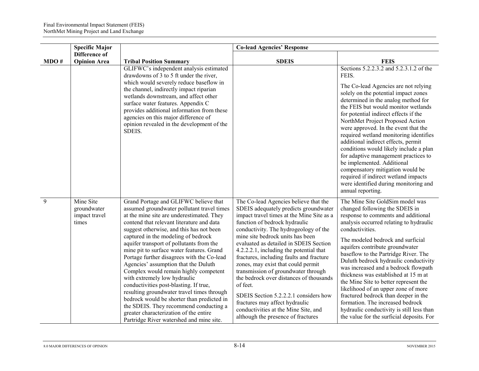|      | <b>Specific Major</b>                              |                                                                                                                                                                                                                                                                                                                                                                                                                                                                                                                                                                                                                                                                                                                                                                                                | <b>Co-lead Agencies' Response</b>                                                                                                                                                                                                                                                                                                                                                                                                                                                                                                                                                                                                                                       |                                                                                                                                                                                                                                                                                                                                                                                                                                                                                                                                                                                                                                                                                |
|------|----------------------------------------------------|------------------------------------------------------------------------------------------------------------------------------------------------------------------------------------------------------------------------------------------------------------------------------------------------------------------------------------------------------------------------------------------------------------------------------------------------------------------------------------------------------------------------------------------------------------------------------------------------------------------------------------------------------------------------------------------------------------------------------------------------------------------------------------------------|-------------------------------------------------------------------------------------------------------------------------------------------------------------------------------------------------------------------------------------------------------------------------------------------------------------------------------------------------------------------------------------------------------------------------------------------------------------------------------------------------------------------------------------------------------------------------------------------------------------------------------------------------------------------------|--------------------------------------------------------------------------------------------------------------------------------------------------------------------------------------------------------------------------------------------------------------------------------------------------------------------------------------------------------------------------------------------------------------------------------------------------------------------------------------------------------------------------------------------------------------------------------------------------------------------------------------------------------------------------------|
| MDO# | Difference of<br><b>Opinion Area</b>               | <b>Tribal Position Summary</b>                                                                                                                                                                                                                                                                                                                                                                                                                                                                                                                                                                                                                                                                                                                                                                 | <b>SDEIS</b>                                                                                                                                                                                                                                                                                                                                                                                                                                                                                                                                                                                                                                                            | <b>FEIS</b>                                                                                                                                                                                                                                                                                                                                                                                                                                                                                                                                                                                                                                                                    |
|      |                                                    | GLIFWC's independent analysis estimated<br>drawdowns of 3 to 5 ft under the river,<br>which would severely reduce baseflow in<br>the channel, indirectly impact riparian<br>wetlands downstream, and affect other<br>surface water features. Appendix C<br>provides additional information from these<br>agencies on this major difference of<br>opinion revealed in the development of the<br>SDEIS.                                                                                                                                                                                                                                                                                                                                                                                          |                                                                                                                                                                                                                                                                                                                                                                                                                                                                                                                                                                                                                                                                         | Sections 5.2.2.3.2 and 5.2.3.1.2 of the<br>FEIS.<br>The Co-lead Agencies are not relying<br>solely on the potential impact zones<br>determined in the analog method for<br>the FEIS but would monitor wetlands<br>for potential indirect effects if the<br>NorthMet Project Proposed Action<br>were approved. In the event that the<br>required wetland monitoring identifies<br>additional indirect effects, permit<br>conditions would likely include a plan<br>for adaptive management practices to<br>be implemented. Additional<br>compensatory mitigation would be<br>required if indirect wetland impacts<br>were identified during monitoring and<br>annual reporting. |
| 9    | Mine Site<br>groundwater<br>impact travel<br>times | Grand Portage and GLIFWC believe that<br>assumed groundwater pollutant travel times<br>at the mine site are underestimated. They<br>contend that relevant literature and data<br>suggest otherwise, and this has not been<br>captured in the modeling of bedrock<br>aquifer transport of pollutants from the<br>mine pit to surface water features. Grand<br>Portage further disagrees with the Co-lead<br>Agencies' assumption that the Duluth<br>Complex would remain highly competent<br>with extremely low hydraulic<br>conductivities post-blasting. If true,<br>resulting groundwater travel times through<br>bedrock would be shorter than predicted in<br>the SDEIS. They recommend conducting a<br>greater characterization of the entire<br>Partridge River watershed and mine site. | The Co-lead Agencies believe that the<br>SDEIS adequately predicts groundwater<br>impact travel times at the Mine Site as a<br>function of bedrock hydraulic<br>conductivity. The hydrogeology of the<br>mine site bedrock units has been<br>evaluated as detailed in SDEIS Section<br>4.2.2.2.1, including the potential that<br>fractures, including faults and fracture<br>zones, may exist that could permit<br>transmission of groundwater through<br>the bedrock over distances of thousands<br>of feet.<br>SDEIS Section 5.2.2.2.1 considers how<br>fractures may affect hydraulic<br>conductivities at the Mine Site, and<br>although the presence of fractures | The Mine Site GoldSim model was<br>changed following the SDEIS in<br>response to comments and additional<br>analysis occurred relating to hydraulic<br>conductivities.<br>The modeled bedrock and surficial<br>aquifers contribute groundwater<br>baseflow to the Partridge River. The<br>Duluth bedrock hydraulic conductivity<br>was increased and a bedrock flowpath<br>thickness was established at 15 m at<br>the Mine Site to better represent the<br>likelihood of an upper zone of more<br>fractured bedrock than deeper in the<br>formation. The increased bedrock<br>hydraulic conductivity is still less than<br>the value for the surficial deposits. For          |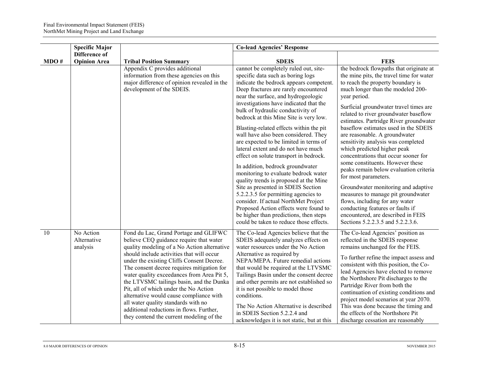|      | <b>Specific Major</b>                |                                                                                                                                                                                                                                                                                                                                                                                                                                                                                                                                                                                      | <b>Co-lead Agencies' Response</b>                                                                                                                                                                                                                                                                                                                                                                                                                                                                                                                                                                                                                                                                                                                                                                                                                                                                                      |                                                                                                                                                                                                                                                                                                                                                                                                                                                                                                                                                                                                                                                                                                                                                                                                                                      |
|------|--------------------------------------|--------------------------------------------------------------------------------------------------------------------------------------------------------------------------------------------------------------------------------------------------------------------------------------------------------------------------------------------------------------------------------------------------------------------------------------------------------------------------------------------------------------------------------------------------------------------------------------|------------------------------------------------------------------------------------------------------------------------------------------------------------------------------------------------------------------------------------------------------------------------------------------------------------------------------------------------------------------------------------------------------------------------------------------------------------------------------------------------------------------------------------------------------------------------------------------------------------------------------------------------------------------------------------------------------------------------------------------------------------------------------------------------------------------------------------------------------------------------------------------------------------------------|--------------------------------------------------------------------------------------------------------------------------------------------------------------------------------------------------------------------------------------------------------------------------------------------------------------------------------------------------------------------------------------------------------------------------------------------------------------------------------------------------------------------------------------------------------------------------------------------------------------------------------------------------------------------------------------------------------------------------------------------------------------------------------------------------------------------------------------|
| MDO# | Difference of<br><b>Opinion Area</b> | <b>Tribal Position Summary</b>                                                                                                                                                                                                                                                                                                                                                                                                                                                                                                                                                       | <b>SDEIS</b>                                                                                                                                                                                                                                                                                                                                                                                                                                                                                                                                                                                                                                                                                                                                                                                                                                                                                                           | <b>FEIS</b>                                                                                                                                                                                                                                                                                                                                                                                                                                                                                                                                                                                                                                                                                                                                                                                                                          |
|      |                                      | Appendix C provides additional<br>information from these agencies on this<br>major difference of opinion revealed in the<br>development of the SDEIS.                                                                                                                                                                                                                                                                                                                                                                                                                                | cannot be completely ruled out, site-<br>specific data such as boring logs<br>indicate the bedrock appears competent.<br>Deep fractures are rarely encountered<br>near the surface, and hydrogeologic<br>investigations have indicated that the<br>bulk of hydraulic conductivity of<br>bedrock at this Mine Site is very low.<br>Blasting-related effects within the pit<br>wall have also been considered. They<br>are expected to be limited in terms of<br>lateral extent and do not have much<br>effect on solute transport in bedrock.<br>In addition, bedrock groundwater<br>monitoring to evaluate bedrock water<br>quality trends is proposed at the Mine<br>Site as presented in SDEIS Section<br>5.2.2.3.5 for permitting agencies to<br>consider. If actual NorthMet Project<br>Proposed Action effects were found to<br>be higher than predictions, then steps<br>could be taken to reduce those effects. | the bedrock flowpaths that originate at<br>the mine pits, the travel time for water<br>to reach the property boundary is<br>much longer than the modeled 200-<br>year period.<br>Surficial groundwater travel times are<br>related to river groundwater baseflow<br>estimates. Partridge River groundwater<br>baseflow estimates used in the SDEIS<br>are reasonable. A groundwater<br>sensitivity analysis was completed<br>which predicted higher peak<br>concentrations that occur sooner for<br>some constituents. However these<br>peaks remain below evaluation criteria<br>for most parameters.<br>Groundwater monitoring and adaptive<br>measures to manage pit groundwater<br>flows, including for any water<br>conducting features or faults if<br>encountered, are described in FEIS<br>Sections 5.2.2.3.5 and 5.2.2.3.6. |
| 10   | No Action<br>Alternative<br>analysis | Fond du Lac, Grand Portage and GLIFWC<br>believe CEQ guidance require that water<br>quality modeling of a No Action alternative<br>should include activities that will occur<br>under the existing Cliffs Consent Decree.<br>The consent decree requires mitigation for<br>water quality exceedances from Area Pit 5,<br>the LTVSMC tailings basin, and the Dunka<br>Pit, all of which under the No Action<br>alternative would cause compliance with<br>all water quality standards with no<br>additional reductions in flows. Further,<br>they contend the current modeling of the | The Co-lead Agencies believe that the<br>SDEIS adequately analyzes effects on<br>water resources under the No Action<br>Alternative as required by<br>NEPA/MEPA. Future remedial actions<br>that would be required at the LTVSMC<br>Tailings Basin under the consent decree<br>and other permits are not established so<br>it is not possible to model those<br>conditions.<br>The No Action Alternative is described<br>in SDEIS Section 5.2.2.4 and<br>acknowledges it is not static, but at this                                                                                                                                                                                                                                                                                                                                                                                                                    | The Co-lead Agencies' position as<br>reflected in the SDEIS response<br>remains unchanged for the FEIS.<br>To further refine the impact assess and<br>consistent with this position, the Co-<br>lead Agencies have elected to remove<br>the Northshore Pit discharges to the<br>Partridge River from both the<br>continuation of existing conditions and<br>project model scenarios at year 2070.<br>This was done because the timing and<br>the effects of the Northshore Pit<br>discharge cessation are reasonably                                                                                                                                                                                                                                                                                                                 |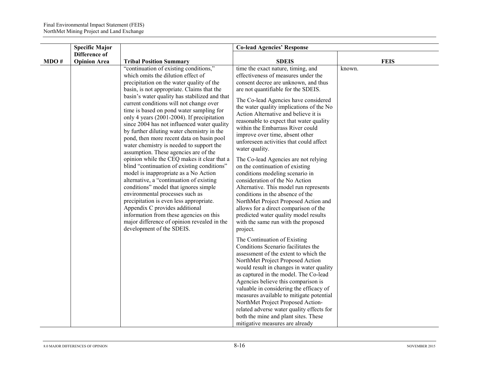|      | <b>Specific Major</b>                |                                                                                                                                                                                                                                                                                                                                                                                                                                                                                                                                                                                                                                                                                                                                                                                                                                                                                                                                                                                                                                                                 | <b>Co-lead Agencies' Response</b>                                                                                                                                                                                                                                                                                                                                                                                                                                                                                                                                                                                                                                                                                                                                                                                                                                              |             |
|------|--------------------------------------|-----------------------------------------------------------------------------------------------------------------------------------------------------------------------------------------------------------------------------------------------------------------------------------------------------------------------------------------------------------------------------------------------------------------------------------------------------------------------------------------------------------------------------------------------------------------------------------------------------------------------------------------------------------------------------------------------------------------------------------------------------------------------------------------------------------------------------------------------------------------------------------------------------------------------------------------------------------------------------------------------------------------------------------------------------------------|--------------------------------------------------------------------------------------------------------------------------------------------------------------------------------------------------------------------------------------------------------------------------------------------------------------------------------------------------------------------------------------------------------------------------------------------------------------------------------------------------------------------------------------------------------------------------------------------------------------------------------------------------------------------------------------------------------------------------------------------------------------------------------------------------------------------------------------------------------------------------------|-------------|
| MDO# | Difference of<br><b>Opinion Area</b> | <b>Tribal Position Summary</b>                                                                                                                                                                                                                                                                                                                                                                                                                                                                                                                                                                                                                                                                                                                                                                                                                                                                                                                                                                                                                                  | <b>SDEIS</b>                                                                                                                                                                                                                                                                                                                                                                                                                                                                                                                                                                                                                                                                                                                                                                                                                                                                   | <b>FEIS</b> |
|      |                                      | "continuation of existing conditions,"<br>which omits the dilution effect of<br>precipitation on the water quality of the<br>basin, is not appropriate. Claims that the<br>basin's water quality has stabilized and that<br>current conditions will not change over<br>time is based on pond water sampling for<br>only 4 years (2001-2004). If precipitation<br>since 2004 has not influenced water quality<br>by further diluting water chemistry in the<br>pond, then more recent data on basin pool<br>water chemistry is needed to support the<br>assumption. These agencies are of the<br>opinion while the CEQ makes it clear that a<br>blind "continuation of existing conditions"<br>model is inappropriate as a No Action<br>alternative, a "continuation of existing<br>conditions" model that ignores simple<br>environmental processes such as<br>precipitation is even less appropriate.<br>Appendix C provides additional<br>information from these agencies on this<br>major difference of opinion revealed in the<br>development of the SDEIS. | time the exact nature, timing, and<br>effectiveness of measures under the<br>consent decree are unknown, and thus<br>are not quantifiable for the SDEIS.<br>The Co-lead Agencies have considered<br>the water quality implications of the No<br>Action Alternative and believe it is<br>reasonable to expect that water quality<br>within the Embarrass River could<br>improve over time, absent other<br>unforeseen activities that could affect<br>water quality.<br>The Co-lead Agencies are not relying<br>on the continuation of existing<br>conditions modeling scenario in<br>consideration of the No Action<br>Alternative. This model run represents<br>conditions in the absence of the<br>NorthMet Project Proposed Action and<br>allows for a direct comparison of the<br>predicted water quality model results<br>with the same run with the proposed<br>project. | known.      |
|      |                                      |                                                                                                                                                                                                                                                                                                                                                                                                                                                                                                                                                                                                                                                                                                                                                                                                                                                                                                                                                                                                                                                                 | The Continuation of Existing<br>Conditions Scenario facilitates the<br>assessment of the extent to which the<br>NorthMet Project Proposed Action<br>would result in changes in water quality<br>as captured in the model. The Co-lead<br>Agencies believe this comparison is<br>valuable in considering the efficacy of<br>measures available to mitigate potential<br>NorthMet Project Proposed Action-<br>related adverse water quality effects for<br>both the mine and plant sites. These<br>mitigative measures are already                                                                                                                                                                                                                                                                                                                                               |             |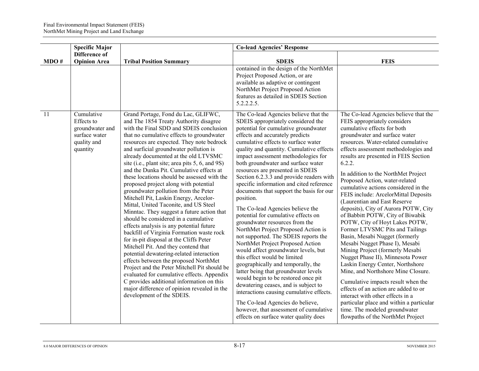|      | <b>Specific Major</b>                                                     |                                                                                                                                                                                                                                                                                                                                                                                                                                                                                                                                                                                                                                                                                                                                                                                                                                                                                                                                                                                                                                                                                                                                                             | <b>Co-lead Agencies' Response</b>                                                                                                                                                                                                                                                                                                                                                                                                                                                                                                                                                                                                                                                                                                                                                                                                                                                                                                                                                                                                                                                                          |                                                                                                                                                                                                                                                                                                                                                                                                                                                                                                                                                                                                                                                                                                                                                                                                                                                                                                                                                                                                                                    |
|------|---------------------------------------------------------------------------|-------------------------------------------------------------------------------------------------------------------------------------------------------------------------------------------------------------------------------------------------------------------------------------------------------------------------------------------------------------------------------------------------------------------------------------------------------------------------------------------------------------------------------------------------------------------------------------------------------------------------------------------------------------------------------------------------------------------------------------------------------------------------------------------------------------------------------------------------------------------------------------------------------------------------------------------------------------------------------------------------------------------------------------------------------------------------------------------------------------------------------------------------------------|------------------------------------------------------------------------------------------------------------------------------------------------------------------------------------------------------------------------------------------------------------------------------------------------------------------------------------------------------------------------------------------------------------------------------------------------------------------------------------------------------------------------------------------------------------------------------------------------------------------------------------------------------------------------------------------------------------------------------------------------------------------------------------------------------------------------------------------------------------------------------------------------------------------------------------------------------------------------------------------------------------------------------------------------------------------------------------------------------------|------------------------------------------------------------------------------------------------------------------------------------------------------------------------------------------------------------------------------------------------------------------------------------------------------------------------------------------------------------------------------------------------------------------------------------------------------------------------------------------------------------------------------------------------------------------------------------------------------------------------------------------------------------------------------------------------------------------------------------------------------------------------------------------------------------------------------------------------------------------------------------------------------------------------------------------------------------------------------------------------------------------------------------|
| MDO# | Difference of<br><b>Opinion Area</b>                                      | <b>Tribal Position Summary</b>                                                                                                                                                                                                                                                                                                                                                                                                                                                                                                                                                                                                                                                                                                                                                                                                                                                                                                                                                                                                                                                                                                                              | <b>SDEIS</b>                                                                                                                                                                                                                                                                                                                                                                                                                                                                                                                                                                                                                                                                                                                                                                                                                                                                                                                                                                                                                                                                                               | <b>FEIS</b>                                                                                                                                                                                                                                                                                                                                                                                                                                                                                                                                                                                                                                                                                                                                                                                                                                                                                                                                                                                                                        |
| 11   | Cumulative                                                                | Grand Portage, Fond du Lac, GLIFWC,                                                                                                                                                                                                                                                                                                                                                                                                                                                                                                                                                                                                                                                                                                                                                                                                                                                                                                                                                                                                                                                                                                                         | contained in the design of the NorthMet<br>Project Proposed Action, or are<br>available as adaptive or contingent<br>NorthMet Project Proposed Action<br>features as detailed in SDEIS Section<br>$5.2.2.2.5$ .<br>The Co-lead Agencies believe that the                                                                                                                                                                                                                                                                                                                                                                                                                                                                                                                                                                                                                                                                                                                                                                                                                                                   | The Co-lead Agencies believe that the                                                                                                                                                                                                                                                                                                                                                                                                                                                                                                                                                                                                                                                                                                                                                                                                                                                                                                                                                                                              |
|      | Effects to<br>groundwater and<br>surface water<br>quality and<br>quantity | and The 1854 Treaty Authority disagree<br>with the Final SDD and SDEIS conclusion<br>that no cumulative effects to groundwater<br>resources are expected. They note bedrock<br>and surficial groundwater pollution is<br>already documented at the old LTVSMC<br>site (i.e., plant site; area pits 5, 6, and 9S)<br>and the Dunka Pit. Cumulative effects at<br>these locations should be assessed with the<br>proposed project along with potential<br>groundwater pollution from the Peter<br>Mitchell Pit, Laskin Energy, Arcelor-<br>Mittal, United Taconite, and US Steel<br>Minntac. They suggest a future action that<br>should be considered in a cumulative<br>effects analysis is any potential future<br>backfill of Virginia Formation waste rock<br>for in-pit disposal at the Cliffs Peter<br>Mitchell Pit. And they contend that<br>potential dewatering-related interaction<br>effects between the proposed NorthMet<br>Project and the Peter Mitchell Pit should be<br>evaluated for cumulative effects. Appendix<br>C provides additional information on this<br>major difference of opinion revealed in the<br>development of the SDEIS. | SDEIS appropriately considered the<br>potential for cumulative groundwater<br>effects and accurately predicts<br>cumulative effects to surface water<br>quality and quantity. Cumulative effects<br>impact assessment methodologies for<br>both groundwater and surface water<br>resources are presented in SDEIS<br>Section 6.2.3.3 and provide readers with<br>specific information and cited reference<br>documents that support the basis for our<br>position.<br>The Co-lead Agencies believe the<br>potential for cumulative effects on<br>groundwater resources from the<br>NorthMet Project Proposed Action is<br>not supported. The SDEIS reports the<br>NorthMet Project Proposed Action<br>would affect groundwater levels, but<br>this effect would be limited<br>geographically and temporally, the<br>latter being that groundwater levels<br>would begin to be restored once pit<br>dewatering ceases, and is subject to<br>interactions causing cumulative effects.<br>The Co-lead Agencies do believe,<br>however, that assessment of cumulative<br>effects on surface water quality does | FEIS appropriately considers<br>cumulative effects for both<br>groundwater and surface water<br>resources. Water-related cumulative<br>effects assessment methodologies and<br>results are presented in FEIS Section<br>6.2.2.<br>In addition to the NorthMet Project<br>Proposed Action, water-related<br>cumulative actions considered in the<br>FEIS include: ArcelorMittal Deposits<br>(Laurentian and East Reserve<br>deposits), City of Aurora POTW, City<br>of Babbitt POTW, City of Biwabik<br>POTW, City of Hoyt Lakes POTW,<br>Former LTVSMC Pits and Tailings<br>Basin, Mesabi Nugget (formerly<br>Mesabi Nugget Phase I), Mesabi<br>Mining Project (formerly Mesabi<br>Nugget Phase II), Minnesota Power<br>Laskin Energy Center, Northshore<br>Mine, and Northshore Mine Closure.<br>Cumulative impacts result when the<br>effects of an action are added to or<br>interact with other effects in a<br>particular place and within a particular<br>time. The modeled groundwater<br>flowpaths of the NorthMet Project |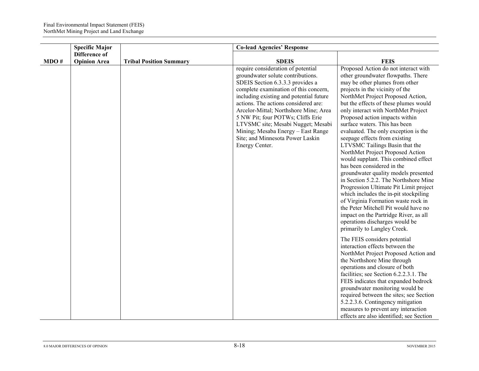|      | <b>Specific Major</b>                |                                | <b>Co-lead Agencies' Response</b>                                                                                                                                                                                                                                                                                                                                                                                                                       |                                                                                                                                                                                                                                                                                                                                                                                                                                                                                                                                                                                                                                                                                                                                                                                                                                                                                                                           |
|------|--------------------------------------|--------------------------------|---------------------------------------------------------------------------------------------------------------------------------------------------------------------------------------------------------------------------------------------------------------------------------------------------------------------------------------------------------------------------------------------------------------------------------------------------------|---------------------------------------------------------------------------------------------------------------------------------------------------------------------------------------------------------------------------------------------------------------------------------------------------------------------------------------------------------------------------------------------------------------------------------------------------------------------------------------------------------------------------------------------------------------------------------------------------------------------------------------------------------------------------------------------------------------------------------------------------------------------------------------------------------------------------------------------------------------------------------------------------------------------------|
| MDO# | Difference of<br><b>Opinion Area</b> | <b>Tribal Position Summary</b> | <b>SDEIS</b>                                                                                                                                                                                                                                                                                                                                                                                                                                            | <b>FEIS</b>                                                                                                                                                                                                                                                                                                                                                                                                                                                                                                                                                                                                                                                                                                                                                                                                                                                                                                               |
|      |                                      |                                | require consideration of potential<br>groundwater solute contributions.<br>SDEIS Section 6.3.3.3 provides a<br>complete examination of this concern,<br>including existing and potential future<br>actions. The actions considered are:<br>Arcelor-Mittal; Northshore Mine; Area<br>5 NW Pit; four POTWs; Cliffs Erie<br>LTVSMC site; Mesabi Nugget; Mesabi<br>Mining; Mesaba Energy - East Range<br>Site; and Minnesota Power Laskin<br>Energy Center. | Proposed Action do not interact with<br>other groundwater flowpaths. There<br>may be other plumes from other<br>projects in the vicinity of the<br>NorthMet Project Proposed Action,<br>but the effects of these plumes would<br>only interact with NorthMet Project<br>Proposed action impacts within<br>surface waters. This has been<br>evaluated. The only exception is the<br>seepage effects from existing<br>LTVSMC Tailings Basin that the<br>NorthMet Project Proposed Action<br>would supplant. This combined effect<br>has been considered in the<br>groundwater quality models presented<br>in Section 5.2.2. The Northshore Mine<br>Progression Ultimate Pit Limit project<br>which includes the in-pit stockpiling<br>of Virginia Formation waste rock in<br>the Peter Mitchell Pit would have no<br>impact on the Partridge River, as all<br>operations discharges would be<br>primarily to Langley Creek. |
|      |                                      |                                |                                                                                                                                                                                                                                                                                                                                                                                                                                                         | The FEIS considers potential<br>interaction effects between the<br>NorthMet Project Proposed Action and<br>the Northshore Mine through<br>operations and closure of both<br>facilities; see Section 6.2.2.3.1. The<br>FEIS indicates that expanded bedrock<br>groundwater monitoring would be<br>required between the sites; see Section<br>5.2.2.3.6. Contingency mitigation<br>measures to prevent any interaction<br>effects are also identified; see Section                                                                                                                                                                                                                                                                                                                                                                                                                                                          |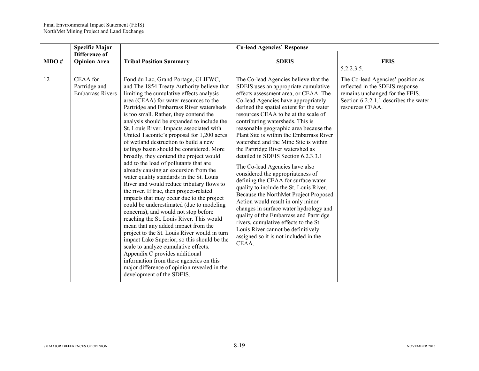|                                                      |                                                                                                                                                                                                                                                                                                                                                                                                                                                                                                                                                                                                                                                                                                                                                                                                                                                                                                                                                                                                                                                                                                                                                                                                                                                       | <b>Co-lead Agencies' Response</b>                                                                                                                                                                                                                                                                                                                                                                                                                                                                                                                                                                                                                                                                                                                                                                                                                                                                                                                           |                                                                                                                                                                                   |
|------------------------------------------------------|-------------------------------------------------------------------------------------------------------------------------------------------------------------------------------------------------------------------------------------------------------------------------------------------------------------------------------------------------------------------------------------------------------------------------------------------------------------------------------------------------------------------------------------------------------------------------------------------------------------------------------------------------------------------------------------------------------------------------------------------------------------------------------------------------------------------------------------------------------------------------------------------------------------------------------------------------------------------------------------------------------------------------------------------------------------------------------------------------------------------------------------------------------------------------------------------------------------------------------------------------------|-------------------------------------------------------------------------------------------------------------------------------------------------------------------------------------------------------------------------------------------------------------------------------------------------------------------------------------------------------------------------------------------------------------------------------------------------------------------------------------------------------------------------------------------------------------------------------------------------------------------------------------------------------------------------------------------------------------------------------------------------------------------------------------------------------------------------------------------------------------------------------------------------------------------------------------------------------------|-----------------------------------------------------------------------------------------------------------------------------------------------------------------------------------|
| <b>Opinion Area</b>                                  | <b>Tribal Position Summary</b>                                                                                                                                                                                                                                                                                                                                                                                                                                                                                                                                                                                                                                                                                                                                                                                                                                                                                                                                                                                                                                                                                                                                                                                                                        | <b>SDEIS</b>                                                                                                                                                                                                                                                                                                                                                                                                                                                                                                                                                                                                                                                                                                                                                                                                                                                                                                                                                | <b>FEIS</b>                                                                                                                                                                       |
| CEAA for<br>Partridge and<br><b>Embarrass Rivers</b> | Fond du Lac, Grand Portage, GLIFWC,<br>and The 1854 Treaty Authority believe that<br>limiting the cumulative effects analysis<br>area (CEAA) for water resources to the<br>Partridge and Embarrass River watersheds<br>is too small. Rather, they contend the<br>analysis should be expanded to include the<br>St. Louis River. Impacts associated with<br>United Taconite's proposal for 1,200 acres<br>of wetland destruction to build a new<br>tailings basin should be considered. More<br>broadly, they contend the project would<br>add to the load of pollutants that are<br>already causing an excursion from the<br>water quality standards in the St. Louis<br>River and would reduce tributary flows to<br>the river. If true, then project-related<br>impacts that may occur due to the project<br>could be underestimated (due to modeling<br>concerns), and would not stop before<br>reaching the St. Louis River. This would<br>mean that any added impact from the<br>project to the St. Louis River would in turn<br>impact Lake Superior, so this should be the<br>scale to analyze cumulative effects.<br>Appendix C provides additional<br>information from these agencies on this<br>major difference of opinion revealed in the | The Co-lead Agencies believe that the<br>SDEIS uses an appropriate cumulative<br>effects assessment area, or CEAA. The<br>Co-lead Agencies have appropriately<br>defined the spatial extent for the water<br>resources CEAA to be at the scale of<br>contributing watersheds. This is<br>reasonable geographic area because the<br>Plant Site is within the Embarrass River<br>watershed and the Mine Site is within<br>the Partridge River watershed as<br>detailed in SDEIS Section 6.2.3.3.1<br>The Co-lead Agencies have also<br>considered the appropriateness of<br>defining the CEAA for surface water<br>quality to include the St. Louis River.<br>Because the NorthMet Project Proposed<br>Action would result in only minor<br>changes in surface water hydrology and<br>quality of the Embarrass and Partridge<br>rivers, cumulative effects to the St.<br>Louis River cannot be definitively<br>assigned so it is not included in the<br>CEAA. | 5.2.2.3.5.<br>The Co-lead Agencies' position as<br>reflected in the SDEIS response<br>remains unchanged for the FEIS.<br>Section 6.2.2.1.1 describes the water<br>resources CEAA. |
|                                                      | Difference of                                                                                                                                                                                                                                                                                                                                                                                                                                                                                                                                                                                                                                                                                                                                                                                                                                                                                                                                                                                                                                                                                                                                                                                                                                         | development of the SDEIS.                                                                                                                                                                                                                                                                                                                                                                                                                                                                                                                                                                                                                                                                                                                                                                                                                                                                                                                                   |                                                                                                                                                                                   |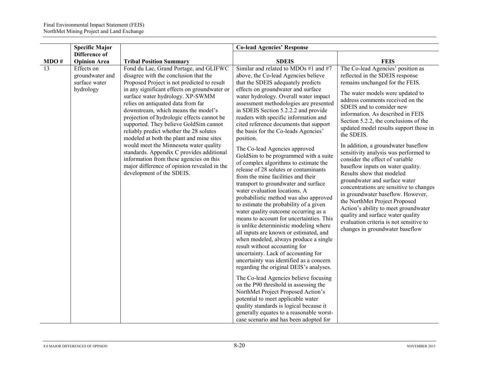|      | <b>Specific Major</b>                                       |                                                                                                                                                                                                                                                                                                                                                                                                                                                                                                                                                                                                                                                                                              | <b>Co-lead Agencies' Response</b>                                                                                                                                                                                                                                                                                                                                                                                                                                                                                                                                                                                                                                                                                                                                                                                                                                                                                                                                                                                                                                                                                                                                         |                                                                                                                                                                                                                                                                                                                                                                                                                                                                                                                                                                                                                                                                                                                                                                                                                                                      |
|------|-------------------------------------------------------------|----------------------------------------------------------------------------------------------------------------------------------------------------------------------------------------------------------------------------------------------------------------------------------------------------------------------------------------------------------------------------------------------------------------------------------------------------------------------------------------------------------------------------------------------------------------------------------------------------------------------------------------------------------------------------------------------|---------------------------------------------------------------------------------------------------------------------------------------------------------------------------------------------------------------------------------------------------------------------------------------------------------------------------------------------------------------------------------------------------------------------------------------------------------------------------------------------------------------------------------------------------------------------------------------------------------------------------------------------------------------------------------------------------------------------------------------------------------------------------------------------------------------------------------------------------------------------------------------------------------------------------------------------------------------------------------------------------------------------------------------------------------------------------------------------------------------------------------------------------------------------------|------------------------------------------------------------------------------------------------------------------------------------------------------------------------------------------------------------------------------------------------------------------------------------------------------------------------------------------------------------------------------------------------------------------------------------------------------------------------------------------------------------------------------------------------------------------------------------------------------------------------------------------------------------------------------------------------------------------------------------------------------------------------------------------------------------------------------------------------------|
| MDO# | <b>Difference of</b><br><b>Opinion Area</b>                 | <b>Tribal Position Summary</b>                                                                                                                                                                                                                                                                                                                                                                                                                                                                                                                                                                                                                                                               | <b>SDEIS</b>                                                                                                                                                                                                                                                                                                                                                                                                                                                                                                                                                                                                                                                                                                                                                                                                                                                                                                                                                                                                                                                                                                                                                              | <b>FEIS</b>                                                                                                                                                                                                                                                                                                                                                                                                                                                                                                                                                                                                                                                                                                                                                                                                                                          |
| 13   | Effects on<br>groundwater and<br>surface water<br>hydrology | Fond du Lac, Grand Portage, and GLIFWC<br>disagree with the conclusion that the<br>Proposed Project is not predicted to result<br>in any significant effects on groundwater or<br>surface water hydrology. XP-SWMM<br>relies on antiquated data from far<br>downstream, which means the model's<br>projection of hydrologic effects cannot be<br>supported. They believe GoldSim cannot<br>reliably predict whether the 28 solutes<br>modeled at both the plant and mine sites<br>would meet the Minnesota water quality<br>standards. Appendix C provides additional<br>information from these agencies on this<br>major difference of opinion revealed in the<br>development of the SDEIS. | Similar and related to MDOs #1 and #7<br>above, the Co-lead Agencies believe<br>that the SDEIS adequately predicts<br>effects on groundwater and surface<br>water hydrology. Overall water impact<br>assessment methodologies are presented<br>in SDEIS Section 5.2.2.2 and provide<br>readers with specific information and<br>cited reference documents that support<br>the basis for the Co-leads Agencies'<br>position.<br>The Co-lead Agencies approved<br>GoldSim to be programmed with a suite<br>of complex algorithms to estimate the<br>release of 28 solutes or contaminants<br>from the mine facilities and their<br>transport to groundwater and surface<br>water evaluation locations. A<br>probabilistic method was also approved<br>to estimate the probability of a given<br>water quality outcome occurring as a<br>means to account for uncertainties. This<br>is unlike deterministic modeling where<br>all inputs are known or estimated, and<br>when modeled, always produce a single<br>result without accounting for<br>uncertainty. Lack of accounting for<br>uncertainty was identified as a concern<br>regarding the original DEIS's analyses. | The Co-lead Agencies' position as<br>reflected in the SDEIS response<br>remains unchanged for the FEIS.<br>The water models were updated to<br>address comments received on the<br>SDEIS and to consider new<br>information. As described in FEIS<br>Section 5.2.2, the conclusions of the<br>updated model results support those in<br>the SDEIS.<br>In addition, a groundwater baseflow<br>sensitivity analysis was performed to<br>consider the effect of variable<br>baseflow inputs on water quality.<br>Results show that modeled<br>groundwater and surface water<br>concentrations are sensitive to changes<br>in groundwater baseflow. However,<br>the NorthMet Project Proposed<br>Action's ability to meet groundwater<br>quality and surface water quality<br>evaluation criteria is not sensitive to<br>changes in groundwater baseflow |
|      |                                                             |                                                                                                                                                                                                                                                                                                                                                                                                                                                                                                                                                                                                                                                                                              | The Co-lead Agencies believe focusing<br>on the P90 threshold in assessing the<br>NorthMet Project Proposed Action's<br>potential to meet applicable water<br>quality standards is logical because it<br>generally equates to a reasonable worst-<br>case scenario and has been adopted for                                                                                                                                                                                                                                                                                                                                                                                                                                                                                                                                                                                                                                                                                                                                                                                                                                                                               |                                                                                                                                                                                                                                                                                                                                                                                                                                                                                                                                                                                                                                                                                                                                                                                                                                                      |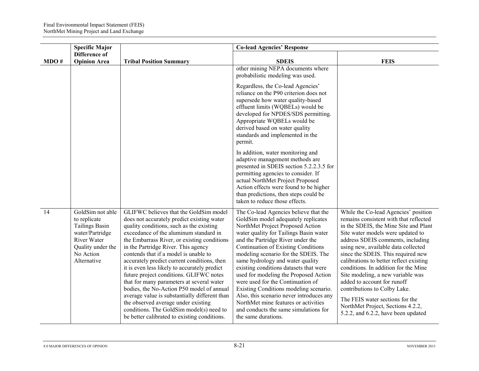|      | <b>Specific Major</b>                                                                                                                               |                                                                                                                                                                                                                                                                                                                                                                                                                                                                                                                                                                                                                                                                                                                                   | <b>Co-lead Agencies' Response</b>                                                                                                                                                                                                                                                                                                                                                                                                                                                                                                                                                                                                               |                                                                                                                                                                                                                                                                                                                                                                                                                                                                                                                                                                                      |
|------|-----------------------------------------------------------------------------------------------------------------------------------------------------|-----------------------------------------------------------------------------------------------------------------------------------------------------------------------------------------------------------------------------------------------------------------------------------------------------------------------------------------------------------------------------------------------------------------------------------------------------------------------------------------------------------------------------------------------------------------------------------------------------------------------------------------------------------------------------------------------------------------------------------|-------------------------------------------------------------------------------------------------------------------------------------------------------------------------------------------------------------------------------------------------------------------------------------------------------------------------------------------------------------------------------------------------------------------------------------------------------------------------------------------------------------------------------------------------------------------------------------------------------------------------------------------------|--------------------------------------------------------------------------------------------------------------------------------------------------------------------------------------------------------------------------------------------------------------------------------------------------------------------------------------------------------------------------------------------------------------------------------------------------------------------------------------------------------------------------------------------------------------------------------------|
| MDO# | <b>Difference of</b><br><b>Opinion Area</b>                                                                                                         | <b>Tribal Position Summary</b>                                                                                                                                                                                                                                                                                                                                                                                                                                                                                                                                                                                                                                                                                                    | <b>SDEIS</b>                                                                                                                                                                                                                                                                                                                                                                                                                                                                                                                                                                                                                                    | <b>FEIS</b>                                                                                                                                                                                                                                                                                                                                                                                                                                                                                                                                                                          |
|      |                                                                                                                                                     |                                                                                                                                                                                                                                                                                                                                                                                                                                                                                                                                                                                                                                                                                                                                   | other mining NEPA documents where<br>probabilistic modeling was used.                                                                                                                                                                                                                                                                                                                                                                                                                                                                                                                                                                           |                                                                                                                                                                                                                                                                                                                                                                                                                                                                                                                                                                                      |
|      |                                                                                                                                                     |                                                                                                                                                                                                                                                                                                                                                                                                                                                                                                                                                                                                                                                                                                                                   | Regardless, the Co-lead Agencies'<br>reliance on the P90 criterion does not<br>supersede how water quality-based<br>effluent limits (WQBELs) would be<br>developed for NPDES/SDS permitting.<br>Appropriate WQBELs would be<br>derived based on water quality<br>standards and implemented in the<br>permit.                                                                                                                                                                                                                                                                                                                                    |                                                                                                                                                                                                                                                                                                                                                                                                                                                                                                                                                                                      |
|      |                                                                                                                                                     |                                                                                                                                                                                                                                                                                                                                                                                                                                                                                                                                                                                                                                                                                                                                   | In addition, water monitoring and<br>adaptive management methods are<br>presented in SDEIS section 5.2.2.3.5 for<br>permitting agencies to consider. If<br>actual NorthMet Project Proposed<br>Action effects were found to be higher<br>than predictions, then steps could be<br>taken to reduce those effects.                                                                                                                                                                                                                                                                                                                                |                                                                                                                                                                                                                                                                                                                                                                                                                                                                                                                                                                                      |
| 14   | GoldSim not able<br>to replicate<br><b>Tailings Basin</b><br>water/Partridge<br><b>River Water</b><br>Quality under the<br>No Action<br>Alternative | GLIFWC believes that the GoldSim model<br>does not accurately predict existing water<br>quality conditions, such as the existing<br>exceedance of the aluminum standard in<br>the Embarrass River, or existing conditions<br>in the Partridge River. This agency<br>contends that if a model is unable to<br>accurately predict current conditions, then<br>it is even less likely to accurately predict<br>future project conditions. GLIFWC notes<br>that for many parameters at several water<br>bodies, the No-Action P50 model of annual<br>average value is substantially different than<br>the observed average under existing<br>conditions. The GoldSim model(s) need to<br>be better calibrated to existing conditions. | The Co-lead Agencies believe that the<br>GoldSim model adequately replicates<br>NorthMet Project Proposed Action<br>water quality for Tailings Basin water<br>and the Partridge River under the<br><b>Continuation of Existing Conditions</b><br>modeling scenario for the SDEIS. The<br>same hydrology and water quality<br>existing conditions datasets that were<br>used for modeling the Proposed Action<br>were used for the Continuation of<br>Existing Conditions modeling scenario.<br>Also, this scenario never introduces any<br>NorthMet mine features or activities<br>and conducts the same simulations for<br>the same durations. | While the Co-lead Agencies' position<br>remains consistent with that reflected<br>in the SDEIS, the Mine Site and Plant<br>Site water models were updated to<br>address SDEIS comments, including<br>using new, available data collected<br>since the SDEIS. This required new<br>calibrations to better reflect existing<br>conditions. In addition for the Mine<br>Site modeling, a new variable was<br>added to account for runoff<br>contributions to Colby Lake.<br>The FEIS water sections for the<br>NorthMet Project, Sections 4.2.2,<br>5.2.2, and 6.2.2, have been updated |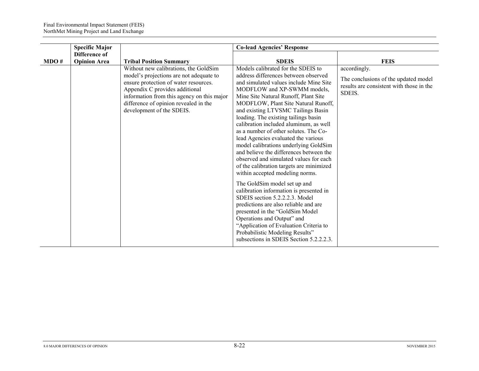|      | <b>Specific Major</b>                |                                                                                                                                                                                                                                                                                 | <b>Co-lead Agencies' Response</b>                                                                                                                                                                                                                                                                                                                                                                                                                                                                                                                                                                                                                                                                                                                                                                                                                                                                                                                                                                      |                                                                                                            |
|------|--------------------------------------|---------------------------------------------------------------------------------------------------------------------------------------------------------------------------------------------------------------------------------------------------------------------------------|--------------------------------------------------------------------------------------------------------------------------------------------------------------------------------------------------------------------------------------------------------------------------------------------------------------------------------------------------------------------------------------------------------------------------------------------------------------------------------------------------------------------------------------------------------------------------------------------------------------------------------------------------------------------------------------------------------------------------------------------------------------------------------------------------------------------------------------------------------------------------------------------------------------------------------------------------------------------------------------------------------|------------------------------------------------------------------------------------------------------------|
| MDO# | Difference of<br><b>Opinion Area</b> | <b>Tribal Position Summary</b>                                                                                                                                                                                                                                                  | <b>SDEIS</b>                                                                                                                                                                                                                                                                                                                                                                                                                                                                                                                                                                                                                                                                                                                                                                                                                                                                                                                                                                                           | <b>FEIS</b>                                                                                                |
|      |                                      | Without new calibrations, the GoldSim<br>model's projections are not adequate to<br>ensure protection of water resources.<br>Appendix C provides additional<br>information from this agency on this major<br>difference of opinion revealed in the<br>development of the SDEIS. | Models calibrated for the SDEIS to<br>address differences between observed<br>and simulated values include Mine Site<br>MODFLOW and XP-SWMM models,<br>Mine Site Natural Runoff, Plant Site<br>MODFLOW, Plant Site Natural Runoff,<br>and existing LTVSMC Tailings Basin<br>loading. The existing tailings basin<br>calibration included aluminum, as well<br>as a number of other solutes. The Co-<br>lead Agencies evaluated the various<br>model calibrations underlying GoldSim<br>and believe the differences between the<br>observed and simulated values for each<br>of the calibration targets are minimized<br>within accepted modeling norms.<br>The GoldSim model set up and<br>calibration information is presented in<br>SDEIS section 5.2.2.2.3. Model<br>predictions are also reliable and are<br>presented in the "GoldSim Model<br>Operations and Output" and<br>"Application of Evaluation Criteria to<br>Probabilistic Modeling Results"<br>subsections in SDEIS Section 5.2.2.2.3. | accordingly.<br>The conclusions of the updated model<br>results are consistent with those in the<br>SDEIS. |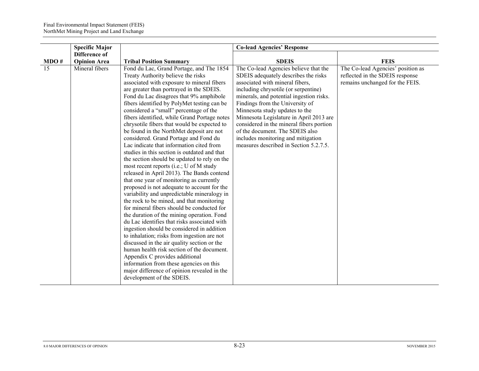|      | <b>Specific Major</b> |                                                                                                                                                                                                                                                                                                                                                                                                                                                                                                                                                                                                                                                                                                                                                                                                                                                                                                                                                                                                                                                                                                                                                                                                                                                                                                                                                                                                                             | <b>Co-lead Agencies' Response</b>                                                                                                                                                                                                                                                                                                                                                                                                                                                   |                                                                                                         |
|------|-----------------------|-----------------------------------------------------------------------------------------------------------------------------------------------------------------------------------------------------------------------------------------------------------------------------------------------------------------------------------------------------------------------------------------------------------------------------------------------------------------------------------------------------------------------------------------------------------------------------------------------------------------------------------------------------------------------------------------------------------------------------------------------------------------------------------------------------------------------------------------------------------------------------------------------------------------------------------------------------------------------------------------------------------------------------------------------------------------------------------------------------------------------------------------------------------------------------------------------------------------------------------------------------------------------------------------------------------------------------------------------------------------------------------------------------------------------------|-------------------------------------------------------------------------------------------------------------------------------------------------------------------------------------------------------------------------------------------------------------------------------------------------------------------------------------------------------------------------------------------------------------------------------------------------------------------------------------|---------------------------------------------------------------------------------------------------------|
|      | Difference of         |                                                                                                                                                                                                                                                                                                                                                                                                                                                                                                                                                                                                                                                                                                                                                                                                                                                                                                                                                                                                                                                                                                                                                                                                                                                                                                                                                                                                                             |                                                                                                                                                                                                                                                                                                                                                                                                                                                                                     |                                                                                                         |
| MDO# | <b>Opinion Area</b>   | <b>Tribal Position Summary</b>                                                                                                                                                                                                                                                                                                                                                                                                                                                                                                                                                                                                                                                                                                                                                                                                                                                                                                                                                                                                                                                                                                                                                                                                                                                                                                                                                                                              | <b>SDEIS</b>                                                                                                                                                                                                                                                                                                                                                                                                                                                                        | <b>FEIS</b>                                                                                             |
| 15   | Mineral fibers        | Fond du Lac, Grand Portage, and The 1854<br>Treaty Authority believe the risks<br>associated with exposure to mineral fibers<br>are greater than portrayed in the SDEIS.<br>Fond du Lac disagrees that 9% amphibole<br>fibers identified by PolyMet testing can be<br>considered a "small" percentage of the<br>fibers identified, while Grand Portage notes<br>chrysotile fibers that would be expected to<br>be found in the NorthMet deposit are not<br>considered. Grand Portage and Fond du<br>Lac indicate that information cited from<br>studies in this section is outdated and that<br>the section should be updated to rely on the<br>most recent reports (i.e.; U of M study<br>released in April 2013). The Bands contend<br>that one year of monitoring as currently<br>proposed is not adequate to account for the<br>variability and unpredictable mineralogy in<br>the rock to be mined, and that monitoring<br>for mineral fibers should be conducted for<br>the duration of the mining operation. Fond<br>du Lac identifies that risks associated with<br>ingestion should be considered in addition<br>to inhalation; risks from ingestion are not<br>discussed in the air quality section or the<br>human health risk section of the document.<br>Appendix C provides additional<br>information from these agencies on this<br>major difference of opinion revealed in the<br>development of the SDEIS. | The Co-lead Agencies believe that the<br>SDEIS adequately describes the risks<br>associated with mineral fibers,<br>including chrysotile (or serpentine)<br>minerals, and potential ingestion risks.<br>Findings from the University of<br>Minnesota study updates to the<br>Minnesota Legislature in April 2013 are<br>considered in the mineral fibers portion<br>of the document. The SDEIS also<br>includes monitoring and mitigation<br>measures described in Section 5.2.7.5. | The Co-lead Agencies' position as<br>reflected in the SDEIS response<br>remains unchanged for the FEIS. |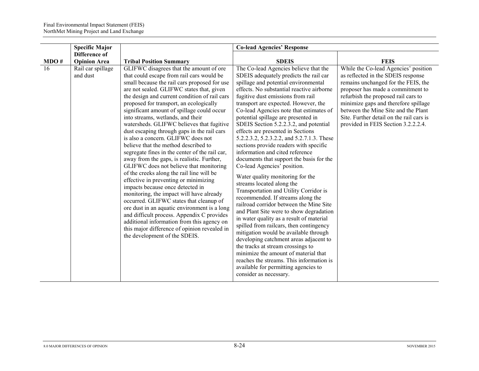|      | <b>Specific Major</b>         |                                                                                                                                                                                                                                                                                                                                                                                                                                                                                                                                                                                                                                                                                                                                                                                                                                                                                                                                                                                                                                                                                                                                     | <b>Co-lead Agencies' Response</b>                                                                                                                                                                                                                                                                                                                                                                                                                                                                                                                                                                                                                                                                                                                                                                                                                                                                                                                                                                                                                                                                                                                                                                                                   |                                                                                                                                                                                                                                                                                                                                                                 |
|------|-------------------------------|-------------------------------------------------------------------------------------------------------------------------------------------------------------------------------------------------------------------------------------------------------------------------------------------------------------------------------------------------------------------------------------------------------------------------------------------------------------------------------------------------------------------------------------------------------------------------------------------------------------------------------------------------------------------------------------------------------------------------------------------------------------------------------------------------------------------------------------------------------------------------------------------------------------------------------------------------------------------------------------------------------------------------------------------------------------------------------------------------------------------------------------|-------------------------------------------------------------------------------------------------------------------------------------------------------------------------------------------------------------------------------------------------------------------------------------------------------------------------------------------------------------------------------------------------------------------------------------------------------------------------------------------------------------------------------------------------------------------------------------------------------------------------------------------------------------------------------------------------------------------------------------------------------------------------------------------------------------------------------------------------------------------------------------------------------------------------------------------------------------------------------------------------------------------------------------------------------------------------------------------------------------------------------------------------------------------------------------------------------------------------------------|-----------------------------------------------------------------------------------------------------------------------------------------------------------------------------------------------------------------------------------------------------------------------------------------------------------------------------------------------------------------|
|      | Difference of                 |                                                                                                                                                                                                                                                                                                                                                                                                                                                                                                                                                                                                                                                                                                                                                                                                                                                                                                                                                                                                                                                                                                                                     |                                                                                                                                                                                                                                                                                                                                                                                                                                                                                                                                                                                                                                                                                                                                                                                                                                                                                                                                                                                                                                                                                                                                                                                                                                     |                                                                                                                                                                                                                                                                                                                                                                 |
| MDO# | <b>Opinion Area</b>           | <b>Tribal Position Summary</b>                                                                                                                                                                                                                                                                                                                                                                                                                                                                                                                                                                                                                                                                                                                                                                                                                                                                                                                                                                                                                                                                                                      | <b>SDEIS</b>                                                                                                                                                                                                                                                                                                                                                                                                                                                                                                                                                                                                                                                                                                                                                                                                                                                                                                                                                                                                                                                                                                                                                                                                                        | <b>FEIS</b>                                                                                                                                                                                                                                                                                                                                                     |
| 16   | Rail car spillage<br>and dust | GLIFWC disagrees that the amount of ore<br>that could escape from rail cars would be<br>small because the rail cars proposed for use<br>are not sealed. GLIFWC states that, given<br>the design and current condition of rail cars<br>proposed for transport, an ecologically<br>significant amount of spillage could occur<br>into streams, wetlands, and their<br>watersheds. GLIFWC believes that fugitive<br>dust escaping through gaps in the rail cars<br>is also a concern. GLIFWC does not<br>believe that the method described to<br>segregate fines in the center of the rail car,<br>away from the gaps, is realistic. Further,<br>GLIFWC does not believe that monitoring<br>of the creeks along the rail line will be<br>effective in preventing or minimizing<br>impacts because once detected in<br>monitoring, the impact will have already<br>occurred. GLIFWC states that cleanup of<br>ore dust in an aquatic environment is a long<br>and difficult process. Appendix C provides<br>additional information from this agency on<br>this major difference of opinion revealed in<br>the development of the SDEIS. | The Co-lead Agencies believe that the<br>SDEIS adequately predicts the rail car<br>spillage and potential environmental<br>effects. No substantial reactive airborne<br>fugitive dust emissions from rail<br>transport are expected. However, the<br>Co-lead Agencies note that estimates of<br>potential spillage are presented in<br>SDEIS Section 5.2.2.3.2, and potential<br>effects are presented in Sections<br>5.2.2.3.2, 5.2.3.2.2, and 5.2.7.1.3. These<br>sections provide readers with specific<br>information and cited reference<br>documents that support the basis for the<br>Co-lead Agencies' position.<br>Water quality monitoring for the<br>streams located along the<br>Transportation and Utility Corridor is<br>recommended. If streams along the<br>railroad corridor between the Mine Site<br>and Plant Site were to show degradation<br>in water quality as a result of material<br>spilled from railcars, then contingency<br>mitigation would be available through<br>developing catchment areas adjacent to<br>the tracks at stream crossings to<br>minimize the amount of material that<br>reaches the streams. This information is<br>available for permitting agencies to<br>consider as necessary. | While the Co-lead Agencies' position<br>as reflected in the SDEIS response<br>remains unchanged for the FEIS, the<br>proposer has made a commitment to<br>refurbish the proposed rail cars to<br>minimize gaps and therefore spillage<br>between the Mine Site and the Plant<br>Site. Further detail on the rail cars is<br>provided in FEIS Section 3.2.2.2.4. |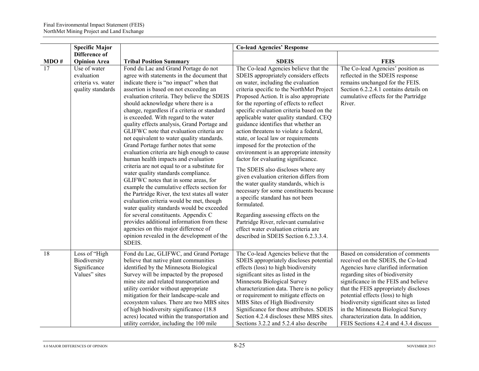|                 | <b>Specific Major</b>                                                 |                                                                                                                                                                                                                                                                                                                                                                                                                                                                                                                                                                                                                                                                                                                                                                                                                                                                                                                                                                                                                                                                                                                                                | <b>Co-lead Agencies' Response</b>                                                                                                                                                                                                                                                                                                                                                                                                                                                                                                                                                                                                                                                                                                                                                                                                                                                                                                                                                    |                                                                                                                                                                                                                                                                                                                                                                                                                                           |
|-----------------|-----------------------------------------------------------------------|------------------------------------------------------------------------------------------------------------------------------------------------------------------------------------------------------------------------------------------------------------------------------------------------------------------------------------------------------------------------------------------------------------------------------------------------------------------------------------------------------------------------------------------------------------------------------------------------------------------------------------------------------------------------------------------------------------------------------------------------------------------------------------------------------------------------------------------------------------------------------------------------------------------------------------------------------------------------------------------------------------------------------------------------------------------------------------------------------------------------------------------------|--------------------------------------------------------------------------------------------------------------------------------------------------------------------------------------------------------------------------------------------------------------------------------------------------------------------------------------------------------------------------------------------------------------------------------------------------------------------------------------------------------------------------------------------------------------------------------------------------------------------------------------------------------------------------------------------------------------------------------------------------------------------------------------------------------------------------------------------------------------------------------------------------------------------------------------------------------------------------------------|-------------------------------------------------------------------------------------------------------------------------------------------------------------------------------------------------------------------------------------------------------------------------------------------------------------------------------------------------------------------------------------------------------------------------------------------|
|                 | Difference of                                                         |                                                                                                                                                                                                                                                                                                                                                                                                                                                                                                                                                                                                                                                                                                                                                                                                                                                                                                                                                                                                                                                                                                                                                |                                                                                                                                                                                                                                                                                                                                                                                                                                                                                                                                                                                                                                                                                                                                                                                                                                                                                                                                                                                      |                                                                                                                                                                                                                                                                                                                                                                                                                                           |
| MDO#            | <b>Opinion Area</b>                                                   | <b>Tribal Position Summary</b>                                                                                                                                                                                                                                                                                                                                                                                                                                                                                                                                                                                                                                                                                                                                                                                                                                                                                                                                                                                                                                                                                                                 | <b>SDEIS</b>                                                                                                                                                                                                                                                                                                                                                                                                                                                                                                                                                                                                                                                                                                                                                                                                                                                                                                                                                                         | <b>FEIS</b>                                                                                                                                                                                                                                                                                                                                                                                                                               |
| 17              | Use of water<br>evaluation<br>criteria vs. water<br>quality standards | Fond du Lac and Grand Portage do not<br>agree with statements in the document that<br>indicate there is "no impact" when that<br>assertion is based on not exceeding an<br>evaluation criteria. They believe the SDEIS<br>should acknowledge where there is a<br>change, regardless if a criteria or standard<br>is exceeded. With regard to the water<br>quality effects analysis, Grand Portage and<br>GLIFWC note that evaluation criteria are<br>not equivalent to water quality standards.<br>Grand Portage further notes that some<br>evaluation criteria are high enough to cause<br>human health impacts and evaluation<br>criteria are not equal to or a substitute for<br>water quality standards compliance.<br>GLIFWC notes that in some areas, for<br>example the cumulative effects section for<br>the Partridge River, the text states all water<br>evaluation criteria would be met, though<br>water quality standards would be exceeded<br>for several constituents. Appendix C<br>provides additional information from these<br>agencies on this major difference of<br>opinion revealed in the development of the<br>SDEIS. | The Co-lead Agencies believe that the<br>SDEIS appropriately considers effects<br>on water, including the evaluation<br>criteria specific to the NorthMet Project<br>Proposed Action. It is also appropriate<br>for the reporting of effects to reflect<br>specific evaluation criteria based on the<br>applicable water quality standard. CEQ<br>guidance identifies that whether an<br>action threatens to violate a federal,<br>state, or local law or requirements<br>imposed for the protection of the<br>environment is an appropriate intensity<br>factor for evaluating significance.<br>The SDEIS also discloses where any<br>given evaluation criterion differs from<br>the water quality standards, which is<br>necessary for some constituents because<br>a specific standard has not been<br>formulated.<br>Regarding assessing effects on the<br>Partridge River, relevant cumulative<br>effect water evaluation criteria are<br>described in SDEIS Section 6.2.3.3.4. | The Co-lead Agencies' position as<br>reflected in the SDEIS response<br>remains unchanged for the FEIS.<br>Section 6.2.2.4.1 contains details on<br>cumulative effects for the Partridge<br>River.                                                                                                                                                                                                                                        |
| $\overline{18}$ | Loss of "High<br>Biodiversity<br>Significance<br>Values" sites        | Fond du Lac, GLIFWC, and Grand Portage<br>believe that native plant communities<br>identified by the Minnesota Biological<br>Survey will be impacted by the proposed<br>mine site and related transportation and<br>utility corridor without appropriate<br>mitigation for their landscape-scale and<br>ecosystem values. There are two MBS sites<br>of high biodiversity significance (18.8)<br>acres) located within the transportation and<br>utility corridor, including the 100 mile                                                                                                                                                                                                                                                                                                                                                                                                                                                                                                                                                                                                                                                      | The Co-lead Agencies believe that the<br>SDEIS appropriately discloses potential<br>effects (loss) to high biodiversity<br>significant sites as listed in the<br>Minnesota Biological Survey<br>characterization data. There is no policy<br>or requirement to mitigate effects on<br>MBS Sites of High Biodiversity<br>Significance for those attributes. SDEIS<br>Section 4.2.4 discloses these MBS sites.<br>Sections 3.2.2 and 5.2.4 also describe                                                                                                                                                                                                                                                                                                                                                                                                                                                                                                                               | Based on consideration of comments<br>received on the SDEIS, the Co-lead<br>Agencies have clarified information<br>regarding sites of biodiversity<br>significance in the FEIS and believe<br>that the FEIS appropriately discloses<br>potential effects (loss) to high<br>biodiversity significant sites as listed<br>in the Minnesota Biological Survey<br>characterization data. In addition,<br>FEIS Sections 4.2.4 and 4.3.4 discuss |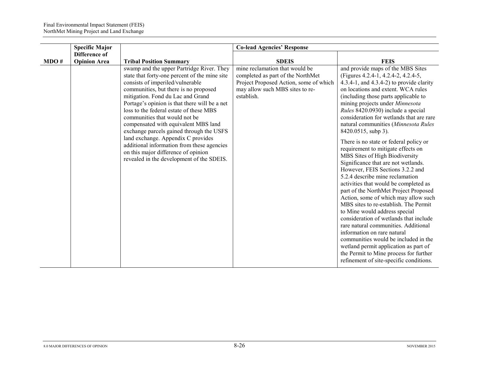|      | <b>Specific Major</b>                |                                                                                                                                                                                                                                                                                                                                                                                                                                                                                                                                                                                                       | <b>Co-lead Agencies' Response</b>                                                                                                                              |                                                                                                                                                                                                                                                                                                                                                                                                                                                                                                                                                                                                                                                                                                                                                                                                                                                                                                                                                                                                                                                                                                                      |
|------|--------------------------------------|-------------------------------------------------------------------------------------------------------------------------------------------------------------------------------------------------------------------------------------------------------------------------------------------------------------------------------------------------------------------------------------------------------------------------------------------------------------------------------------------------------------------------------------------------------------------------------------------------------|----------------------------------------------------------------------------------------------------------------------------------------------------------------|----------------------------------------------------------------------------------------------------------------------------------------------------------------------------------------------------------------------------------------------------------------------------------------------------------------------------------------------------------------------------------------------------------------------------------------------------------------------------------------------------------------------------------------------------------------------------------------------------------------------------------------------------------------------------------------------------------------------------------------------------------------------------------------------------------------------------------------------------------------------------------------------------------------------------------------------------------------------------------------------------------------------------------------------------------------------------------------------------------------------|
| MDO# | Difference of<br><b>Opinion Area</b> | <b>Tribal Position Summary</b>                                                                                                                                                                                                                                                                                                                                                                                                                                                                                                                                                                        | <b>SDEIS</b>                                                                                                                                                   | <b>FEIS</b>                                                                                                                                                                                                                                                                                                                                                                                                                                                                                                                                                                                                                                                                                                                                                                                                                                                                                                                                                                                                                                                                                                          |
|      |                                      | swamp and the upper Partridge River. They<br>state that forty-one percent of the mine site<br>consists of imperiled/vulnerable<br>communities, but there is no proposed<br>mitigation. Fond du Lac and Grand<br>Portage's opinion is that there will be a net<br>loss to the federal estate of these MBS<br>communities that would not be<br>compensated with equivalent MBS land<br>exchange parcels gained through the USFS<br>land exchange. Appendix C provides<br>additional information from these agencies<br>on this major difference of opinion<br>revealed in the development of the SDEIS. | mine reclamation that would be<br>completed as part of the NorthMet<br>Project Proposed Action, some of which<br>may allow such MBS sites to re-<br>establish. | and provide maps of the MBS Sites<br>(Figures 4.2.4-1, 4.2.4-2, 4.2.4-5,<br>4.3.4-1, and $4.3.4-2$ ) to provide clarity<br>on locations and extent. WCA rules<br>(including those parts applicable to<br>mining projects under Minnesota<br>Rules 8420.0930) include a special<br>consideration for wetlands that are rare<br>natural communities (Minnesota Rules<br>8420.0515, subp 3).<br>There is no state or federal policy or<br>requirement to mitigate effects on<br>MBS Sites of High Biodiversity<br>Significance that are not wetlands.<br>However, FEIS Sections 3.2.2 and<br>5.2.4 describe mine reclamation<br>activities that would be completed as<br>part of the NorthMet Project Proposed<br>Action, some of which may allow such<br>MBS sites to re-establish. The Permit<br>to Mine would address special<br>consideration of wetlands that include<br>rare natural communities. Additional<br>information on rare natural<br>communities would be included in the<br>wetland permit application as part of<br>the Permit to Mine process for further<br>refinement of site-specific conditions. |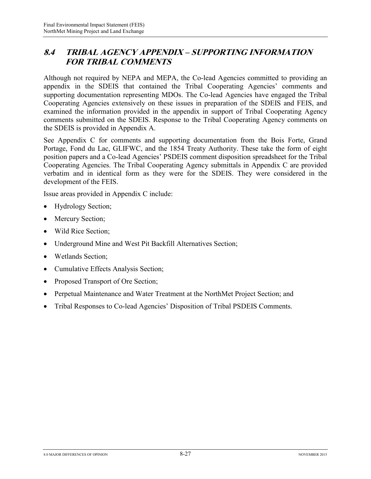#### **8.4 TRIBAL AGENCY APPENDIX – SUPPORTING INFORMATION FOR TRIBAL COMMENTS**

Although not required by NEPA and MEPA, the Co-lead Agencies committed to providing an appendix in the SDEIS that contained the Tribal Cooperating Agencies' comments and supporting documentation representing MDOs. The Co-lead Agencies have engaged the Tribal Cooperating Agencies extensively on these issues in preparation of the SDEIS and FEIS, and examined the information provided in the appendix in support of Tribal Cooperating Agency comments submitted on the SDEIS. Response to the Tribal Cooperating Agency comments on the SDEIS is provided in Appendix A.

See Appendix C for comments and supporting documentation from the Bois Forte, Grand Portage, Fond du Lac, GLIFWC, and the 1854 Treaty Authority. These take the form of eight position papers and a Co-lead Agencies' PSDEIS comment disposition spreadsheet for the Tribal Cooperating Agencies. The Tribal Cooperating Agency submittals in Appendix C are provided verbatim and in identical form as they were for the SDEIS. They were considered in the development of the FEIS.

Issue areas provided in Appendix C include:

- Hydrology Section;
- Mercury Section;
- Wild Rice Section;
- Underground Mine and West Pit Backfill Alternatives Section;
- Wetlands Section;
- Cumulative Effects Analysis Section;
- Proposed Transport of Ore Section;
- Perpetual Maintenance and Water Treatment at the NorthMet Project Section; and
- Tribal Responses to Co-lead Agencies' Disposition of Tribal PSDEIS Comments.